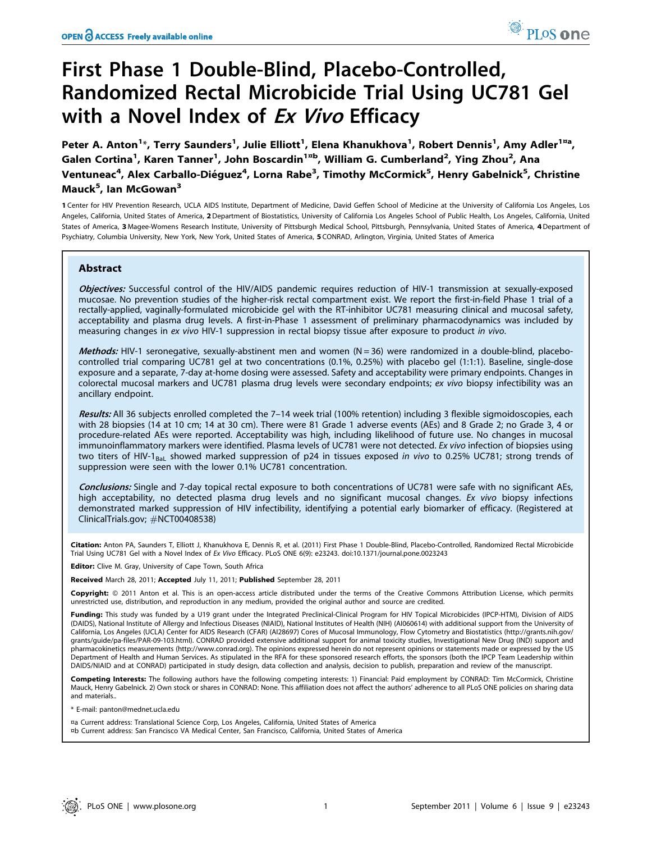# First Phase 1 Double-Blind, Placebo-Controlled, Randomized Rectal Microbicide Trial Using UC781 Gel with a Novel Index of Ex Vivo Efficacy

Peter A. Anton<sup>1</sup>\*, Terry Saunders<sup>1</sup>, Julie Elliott<sup>1</sup>, Elena Khanukhova<sup>1</sup>, Robert Dennis<sup>1</sup>, Amy Adler<sup>1¤a</sup>, Galen Cortina<sup>1</sup>, Karen Tanner<sup>1</sup>, John Boscardin<sup>1¤b</sup>, William G. Cumberland<sup>2</sup>, Ying Zhou<sup>2</sup>, Ana Ventuneac<sup>4</sup>, Alex Carballo-Diéguez<sup>4</sup>, Lorna Rabe<sup>3</sup>, Timothy McCormick<sup>5</sup>, Henry Gabelnick<sup>5</sup>, Christine Mauck<sup>5</sup>, Ian McGowan<sup>3</sup>

1 Center for HIV Prevention Research, UCLA AIDS Institute, Department of Medicine, David Geffen School of Medicine at the University of California Los Angeles, Los Angeles, California, United States of America, 2Department of Biostatistics, University of California Los Angeles School of Public Health, Los Angeles, California, United States of America, 3 Magee-Womens Research Institute, University of Pittsburgh Medical School, Pittsburgh, Pennsylvania, United States of America, 4 Department of Psychiatry, Columbia University, New York, New York, United States of America, 5 CONRAD, Arlington, Virginia, United States of America

# Abstract

Objectives: Successful control of the HIV/AIDS pandemic requires reduction of HIV-1 transmission at sexually-exposed mucosae. No prevention studies of the higher-risk rectal compartment exist. We report the first-in-field Phase 1 trial of a rectally-applied, vaginally-formulated microbicide gel with the RT-inhibitor UC781 measuring clinical and mucosal safety, acceptability and plasma drug levels. A first-in-Phase 1 assessment of preliminary pharmacodynamics was included by measuring changes in ex vivo HIV-1 suppression in rectal biopsy tissue after exposure to product in vivo.

Methods: HIV-1 seronegative, sexually-abstinent men and women  $(N = 36)$  were randomized in a double-blind, placebocontrolled trial comparing UC781 gel at two concentrations (0.1%, 0.25%) with placebo gel (1:1:1). Baseline, single-dose exposure and a separate, 7-day at-home dosing were assessed. Safety and acceptability were primary endpoints. Changes in colorectal mucosal markers and UC781 plasma drug levels were secondary endpoints; ex vivo biopsy infectibility was an ancillary endpoint.

Results: All 36 subjects enrolled completed the 7-14 week trial (100% retention) including 3 flexible sigmoidoscopies, each with 28 biopsies (14 at 10 cm; 14 at 30 cm). There were 81 Grade 1 adverse events (AEs) and 8 Grade 2; no Grade 3, 4 or procedure-related AEs were reported. Acceptability was high, including likelihood of future use. No changes in mucosal immunoinflammatory markers were identified. Plasma levels of UC781 were not detected. Ex vivo infection of biopsies using two titers of HIV-1<sub>BaL</sub> showed marked suppression of p24 in tissues exposed in vivo to 0.25% UC781; strong trends of suppression were seen with the lower 0.1% UC781 concentration.

Conclusions: Single and 7-day topical rectal exposure to both concentrations of UC781 were safe with no significant AEs, high acceptability, no detected plasma drug levels and no significant mucosal changes. Ex vivo biopsy infections demonstrated marked suppression of HIV infectibility, identifying a potential early biomarker of efficacy. (Registered at ClinicalTrials.gov; #NCT00408538)

Citation: Anton PA, Saunders T, Elliott J, Khanukhova E, Dennis R, et al. (2011) First Phase 1 Double-Blind, Placebo-Controlled, Randomized Rectal Microbicide Trial Using UC781 Gel with a Novel Index of Ex Vivo Efficacy. PLoS ONE 6(9): e23243. doi:10.1371/journal.pone.0023243

Editor: Clive M. Gray, University of Cape Town, South Africa

Received March 28, 2011; Accepted July 11, 2011; Published September 28, 2011

Copyright: © 2011 Anton et al. This is an open-access article distributed under the terms of the Creative Commons Attribution License, which permits unrestricted use, distribution, and reproduction in any medium, provided the original author and source are credited.

Funding: This study was funded by a U19 grant under the Integrated Preclinical-Clinical Program for HIV Topical Microbicides (IPCP-HTM), Division of AIDS (DAIDS), National Institute of Allergy and Infectious Diseases (NIAID), National Institutes of Health (NIH) (AI060614) with additional support from the University of California, Los Angeles (UCLA) Center for AIDS Research (CFAR) (AI28697) Cores of Mucosal Immunology, Flow Cytometry and Biostatistics (http://grants.nih.gov/ grants/guide/pa-files/PAR-09-103.html). CONRAD provided extensive additional support for animal toxicity studies, Investigational New Drug (IND) support and pharmacokinetics measurements (http://www.conrad.org). The opinions expressed herein do not represent opinions or statements made or expressed by the US Department of Health and Human Services. As stipulated in the RFA for these sponsored research efforts, the sponsors (both the IPCP Team Leadership within DAIDS/NIAID and at CONRAD) participated in study design, data collection and analysis, decision to publish, preparation and review of the manuscript.

Competing Interests: The following authors have the following competing interests: 1) Financial: Paid employment by CONRAD: Tim McCormick, Christine Mauck, Henry Gabelnick. 2) Own stock or shares in CONRAD: None. This affiliation does not affect the authors' adherence to all PLoS ONE policies on sharing data and materials..

\* E-mail: panton@mednet.ucla.edu

¤a Current address: Translational Science Corp, Los Angeles, California, United States of America ¤b Current address: San Francisco VA Medical Center, San Francisco, California, United States of America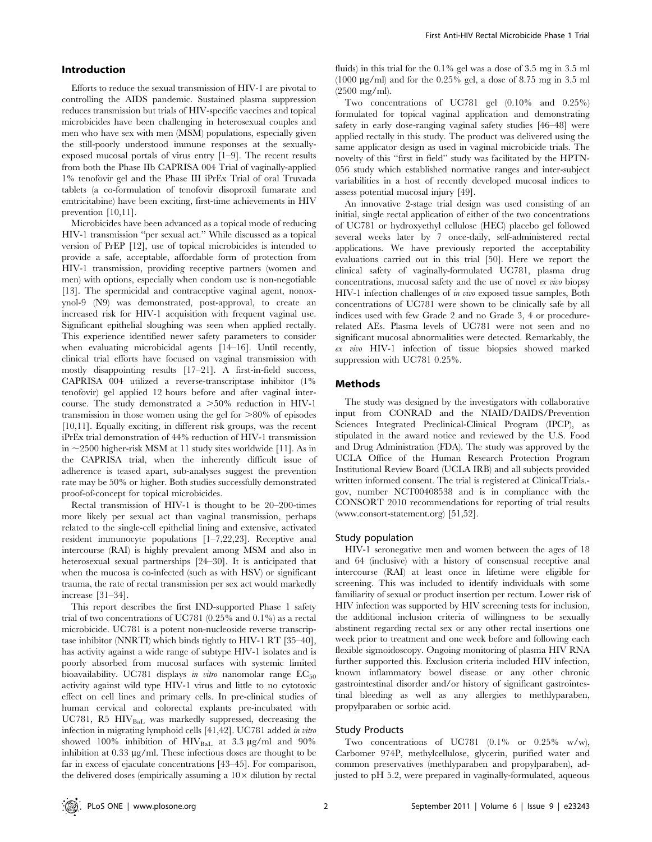## Introduction

Efforts to reduce the sexual transmission of HIV-1 are pivotal to controlling the AIDS pandemic. Sustained plasma suppression reduces transmission but trials of HIV-specific vaccines and topical microbicides have been challenging in heterosexual couples and men who have sex with men (MSM) populations, especially given the still-poorly understood immune responses at the sexuallyexposed mucosal portals of virus entry [1–9]. The recent results from both the Phase IIb CAPRISA 004 Trial of vaginally-applied 1% tenofovir gel and the Phase III iPrEx Trial of oral Truvada tablets (a co-formulation of tenofovir disoproxil fumarate and emtricitabine) have been exciting, first-time achievements in HIV prevention [10,11].

Microbicides have been advanced as a topical mode of reducing HIV-1 transmission ''per sexual act.'' While discussed as a topical version of PrEP [12], use of topical microbicides is intended to provide a safe, acceptable, affordable form of protection from HIV-1 transmission, providing receptive partners (women and men) with options, especially when condom use is non-negotiable [13]. The spermicidal and contraceptive vaginal agent, nonoxynol-9 (N9) was demonstrated, post-approval, to create an increased risk for HIV-1 acquisition with frequent vaginal use. Significant epithelial sloughing was seen when applied rectally. This experience identified newer safety parameters to consider when evaluating microbicidal agents [14–16]. Until recently, clinical trial efforts have focused on vaginal transmission with mostly disappointing results [17–21]. A first-in-field success, CAPRISA 004 utilized a reverse-transcriptase inhibitor (1% tenofovir) gel applied 12 hours before and after vaginal intercourse. The study demonstrated a  $>50\%$  reduction in HIV-1 transmission in those women using the gel for  $>80\%$  of episodes [10,11]. Equally exciting, in different risk groups, was the recent iPrEx trial demonstration of 44% reduction of HIV-1 transmission in  $\sim$  2500 higher-risk MSM at 11 study sites worldwide [11]. As in the CAPRISA trial, when the inherently difficult issue of adherence is teased apart, sub-analyses suggest the prevention rate may be 50% or higher. Both studies successfully demonstrated proof-of-concept for topical microbicides.

Rectal transmission of HIV-1 is thought to be 20–200-times more likely per sexual act than vaginal transmission, perhaps related to the single-cell epithelial lining and extensive, activated resident immunocyte populations [1–7,22,23]. Receptive anal intercourse (RAI) is highly prevalent among MSM and also in heterosexual sexual partnerships [24–30]. It is anticipated that when the mucosa is co-infected (such as with HSV) or significant trauma, the rate of rectal transmission per sex act would markedly increase [31–34].

This report describes the first IND-supported Phase 1 safety trial of two concentrations of UC781 (0.25% and 0.1%) as a rectal microbicide. UC781 is a potent non-nucleoside reverse transcriptase inhibitor (NNRTI) which binds tightly to HIV-1 RT [35–40], has activity against a wide range of subtype HIV-1 isolates and is poorly absorbed from mucosal surfaces with systemic limited bioavailability. UC781 displays in vitro nanomolar range  $EC_{50}$ activity against wild type HIV-1 virus and little to no cytotoxic effect on cell lines and primary cells. In pre-clinical studies of human cervical and colorectal explants pre-incubated with UC781, R5 HIV<sub>BaL</sub> was markedly suppressed, decreasing the infection in migrating lymphoid cells [41,42]. UC781 added in vitro showed 100% inhibition of  $HIV_{\text{Bal}}$  at 3.3 µg/ml and 90% inhibition at  $0.33 \mu g/ml$ . These infectious doses are thought to be far in excess of ejaculate concentrations [43–45]. For comparison, the delivered doses (empirically assuming a  $10\times$  dilution by rectal

fluids) in this trial for the 0.1% gel was a dose of 3.5 mg in 3.5 ml (1000  $\mu$ g/ml) and for the 0.25% gel, a dose of 8.75 mg in 3.5 ml (2500 mg/ml).

Two concentrations of UC781 gel (0.10% and 0.25%) formulated for topical vaginal application and demonstrating safety in early dose-ranging vaginal safety studies [46–48] were applied rectally in this study. The product was delivered using the same applicator design as used in vaginal microbicide trials. The novelty of this ''first in field'' study was facilitated by the HPTN-056 study which established normative ranges and inter-subject variabilities in a host of recently developed mucosal indices to assess potential mucosal injury [49].

An innovative 2-stage trial design was used consisting of an initial, single rectal application of either of the two concentrations of UC781 or hydroxyethyl cellulose (HEC) placebo gel followed several weeks later by 7 once-daily, self-administered rectal applications. We have previously reported the acceptability evaluations carried out in this trial [50]. Here we report the clinical safety of vaginally-formulated UC781, plasma drug concentrations, mucosal safety and the use of novel ex vivo biopsy HIV-1 infection challenges of in vivo exposed tissue samples, Both concentrations of UC781 were shown to be clinically safe by all indices used with few Grade 2 and no Grade 3, 4 or procedurerelated AEs. Plasma levels of UC781 were not seen and no significant mucosal abnormalities were detected. Remarkably, the ex vivo HIV-1 infection of tissue biopsies showed marked suppression with UC781 0.25%.

#### Methods

The study was designed by the investigators with collaborative input from CONRAD and the NIAID/DAIDS/Prevention Sciences Integrated Preclinical-Clinical Program (IPCP), as stipulated in the award notice and reviewed by the U.S. Food and Drug Administration (FDA). The study was approved by the UCLA Office of the Human Research Protection Program Institutional Review Board (UCLA IRB) and all subjects provided written informed consent. The trial is registered at ClinicalTrials. gov, number NCT00408538 and is in compliance with the CONSORT 2010 recommendations for reporting of trial results (www.consort-statement.org) [51,52].

#### Study population

HIV-1 seronegative men and women between the ages of 18 and 64 (inclusive) with a history of consensual receptive anal intercourse (RAI) at least once in lifetime were eligible for screening. This was included to identify individuals with some familiarity of sexual or product insertion per rectum. Lower risk of HIV infection was supported by HIV screening tests for inclusion, the additional inclusion criteria of willingness to be sexually abstinent regarding rectal sex or any other rectal insertions one week prior to treatment and one week before and following each flexible sigmoidoscopy. Ongoing monitoring of plasma HIV RNA further supported this. Exclusion criteria included HIV infection, known inflammatory bowel disease or any other chronic gastrointestinal disorder and/or history of significant gastrointestinal bleeding as well as any allergies to methlyparaben, propylparaben or sorbic acid.

#### Study Products

Two concentrations of UC781 (0.1% or 0.25% w/w), Carbomer 974P, methylcellulose, glycerin, purified water and common preservatives (methlyparaben and propylparaben), adjusted to pH 5.2, were prepared in vaginally-formulated, aqueous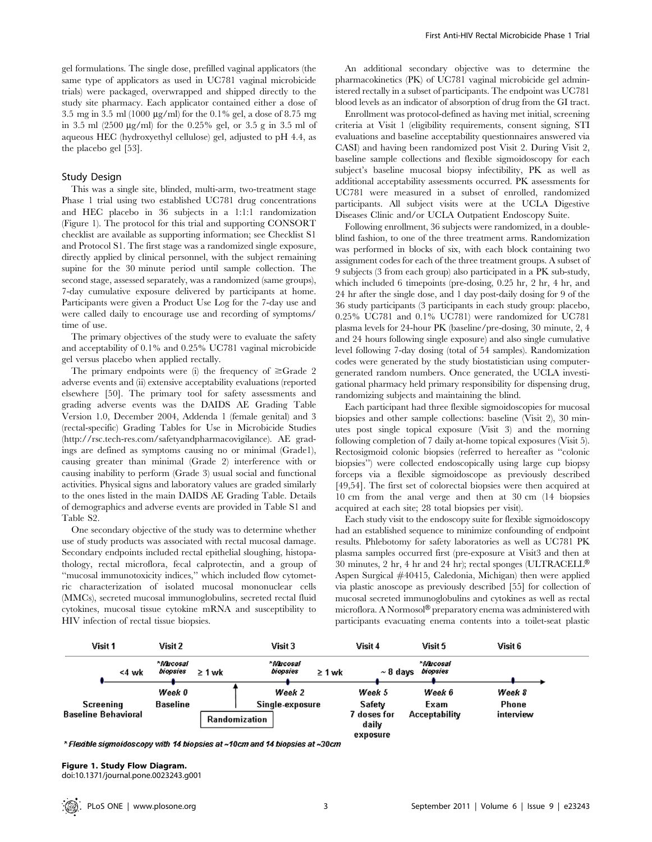gel formulations. The single dose, prefilled vaginal applicators (the same type of applicators as used in UC781 vaginal microbicide trials) were packaged, overwrapped and shipped directly to the study site pharmacy. Each applicator contained either a dose of 3.5 mg in 3.5 ml (1000  $\mu$ g/ml) for the 0.1% gel, a dose of 8.75 mg in 3.5 ml  $(2500 \text{ µg/ml})$  for the 0.25% gel, or 3.5 g in 3.5 ml of aqueous HEC (hydroxyethyl cellulose) gel, adjusted to pH 4.4, as the placebo gel [53].

#### Study Design

This was a single site, blinded, multi-arm, two-treatment stage Phase 1 trial using two established UC781 drug concentrations and HEC placebo in 36 subjects in a 1:1:1 randomization (Figure 1). The protocol for this trial and supporting CONSORT checklist are available as supporting information; see Checklist S1 and Protocol S1. The first stage was a randomized single exposure, directly applied by clinical personnel, with the subject remaining supine for the 30 minute period until sample collection. The second stage, assessed separately, was a randomized (same groups), 7-day cumulative exposure delivered by participants at home. Participants were given a Product Use Log for the 7-day use and were called daily to encourage use and recording of symptoms/ time of use.

The primary objectives of the study were to evaluate the safety and acceptability of 0.1% and 0.25% UC781 vaginal microbicide gel versus placebo when applied rectally.

The primary endpoints were (i) the frequency of  $\geq$ Grade 2 adverse events and (ii) extensive acceptability evaluations (reported elsewhere [50]. The primary tool for safety assessments and grading adverse events was the DAIDS AE Grading Table Version 1.0, December 2004, Addenda 1 (female genital) and 3 (rectal-specific) Grading Tables for Use in Microbicide Studies (http://rsc.tech-res.com/safetyandpharmacovigilance). AE gradings are defined as symptoms causing no or minimal (Grade1), causing greater than minimal (Grade 2) interference with or causing inability to perform (Grade 3) usual social and functional activities. Physical signs and laboratory values are graded similarly to the ones listed in the main DAIDS AE Grading Table. Details of demographics and adverse events are provided in Table S1 and Table S2.

One secondary objective of the study was to determine whether use of study products was associated with rectal mucosal damage. Secondary endpoints included rectal epithelial sloughing, histopathology, rectal microflora, fecal calprotectin, and a group of ''mucosal immunotoxicity indices,'' which included flow cytometric characterization of isolated mucosal mononuclear cells (MMCs), secreted mucosal immunoglobulins, secreted rectal fluid cytokines, mucosal tissue cytokine mRNA and susceptibility to HIV infection of rectal tissue biopsies.

An additional secondary objective was to determine the pharmacokinetics (PK) of UC781 vaginal microbicide gel administered rectally in a subset of participants. The endpoint was UC781 blood levels as an indicator of absorption of drug from the GI tract.

Enrollment was protocol-defined as having met initial, screening criteria at Visit 1 (eligibility requirements, consent signing, STI evaluations and baseline acceptability questionnaires answered via CASI) and having been randomized post Visit 2. During Visit 2, baseline sample collections and flexible sigmoidoscopy for each subject's baseline mucosal biopsy infectibility, PK as well as additional acceptability assessments occurred. PK assessments for UC781 were measured in a subset of enrolled, randomized participants. All subject visits were at the UCLA Digestive Diseases Clinic and/or UCLA Outpatient Endoscopy Suite.

Following enrollment, 36 subjects were randomized, in a doubleblind fashion, to one of the three treatment arms. Randomization was performed in blocks of six, with each block containing two assignment codes for each of the three treatment groups. A subset of 9 subjects (3 from each group) also participated in a PK sub-study, which included 6 timepoints (pre-dosing, 0.25 hr, 2 hr, 4 hr, and 24 hr after the single dose, and 1 day post-daily dosing for 9 of the 36 study participants (3 participants in each study group: placebo, 0.25% UC781 and 0.1% UC781) were randomized for UC781 plasma levels for 24-hour PK (baseline/pre-dosing, 30 minute, 2, 4 and 24 hours following single exposure) and also single cumulative level following 7-day dosing (total of 54 samples). Randomization codes were generated by the study biostatistician using computergenerated random numbers. Once generated, the UCLA investigational pharmacy held primary responsibility for dispensing drug, randomizing subjects and maintaining the blind.

Each participant had three flexible sigmoidoscopies for mucosal biopsies and other sample collections: baseline (Visit 2), 30 minutes post single topical exposure (Visit 3) and the morning following completion of 7 daily at-home topical exposures (Visit 5). Rectosigmoid colonic biopsies (referred to hereafter as ''colonic biopsies'') were collected endoscopically using large cup biopsy forceps via a flexible sigmoidoscope as previously described [49,54]. The first set of colorectal biopsies were then acquired at 10 cm from the anal verge and then at 30 cm (14 biopsies acquired at each site; 28 total biopsies per visit).

Each study visit to the endoscopy suite for flexible sigmoidoscopy had an established sequence to minimize confounding of endpoint results. Phlebotomy for safety laboratories as well as UC781 PK plasma samples occurred first (pre-exposure at Visit3 and then at 30 minutes, 2 hr, 4 hr and 24 hr); rectal sponges (ULTRACELL® Aspen Surgical #40415, Caledonia, Michigan) then were applied via plastic anoscope as previously described [55] for collection of mucosal secreted immunoglobulins and cytokines as well as rectal microflora. A Normosol® preparatory enema was administered with participants evacuating enema contents into a toilet-seat plastic



\* Flexible sigmoidoscopy with 14 biopsies at ~10cm and 14 biopsies at ~30cm

Figure 1. Study Flow Diagram. doi:10.1371/journal.pone.0023243.g001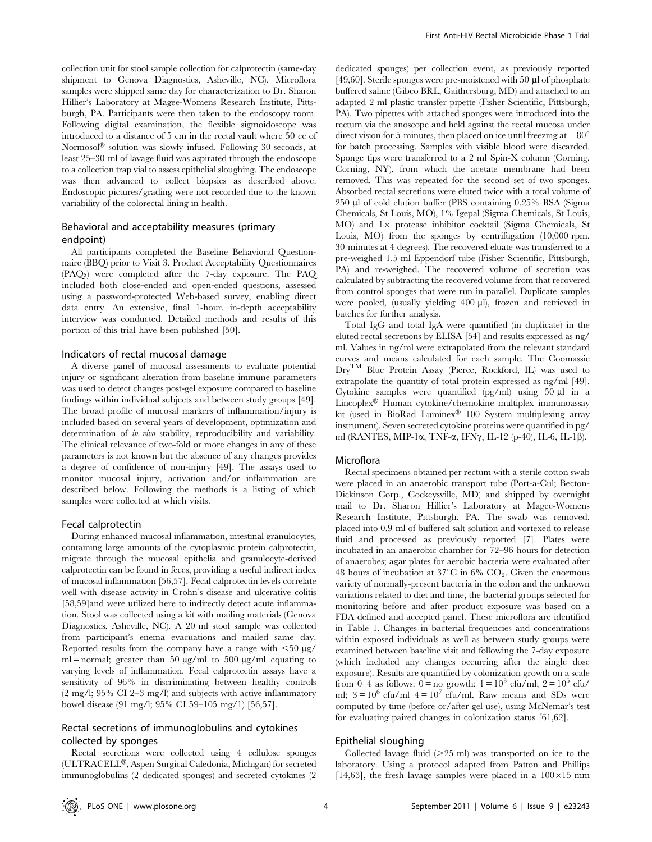collection unit for stool sample collection for calprotectin (same-day shipment to Genova Diagnostics, Asheville, NC). Microflora samples were shipped same day for characterization to Dr. Sharon Hillier's Laboratory at Magee-Womens Research Institute, Pittsburgh, PA. Participants were then taken to the endoscopy room. Following digital examination, the flexible sigmoidoscope was introduced to a distance of 5 cm in the rectal vault where 50 cc of Normosol<sup>®</sup> solution was slowly infused. Following 30 seconds, at least 25–30 ml of lavage fluid was aspirated through the endoscope to a collection trap vial to assess epithelial sloughing. The endoscope was then advanced to collect biopsies as described above. Endoscopic pictures/grading were not recorded due to the known variability of the colorectal lining in health.

## Behavioral and acceptability measures (primary endpoint)

All participants completed the Baseline Behavioral Questionnaire (BBQ) prior to Visit 3. Product Acceptability Questionnaires (PAQs) were completed after the 7-day exposure. The PAQ included both close-ended and open-ended questions, assessed using a password-protected Web-based survey, enabling direct data entry. An extensive, final 1-hour, in-depth acceptability interview was conducted. Detailed methods and results of this portion of this trial have been published [50].

## Indicators of rectal mucosal damage

A diverse panel of mucosal assessments to evaluate potential injury or significant alteration from baseline immune parameters was used to detect changes post-gel exposure compared to baseline findings within individual subjects and between study groups [49]. The broad profile of mucosal markers of inflammation/injury is included based on several years of development, optimization and determination of *in vivo* stability, reproducibility and variability. The clinical relevance of two-fold or more changes in any of these parameters is not known but the absence of any changes provides a degree of confidence of non-injury [49]. The assays used to monitor mucosal injury, activation and/or inflammation are described below. Following the methods is a listing of which samples were collected at which visits.

#### Fecal calprotectin

During enhanced mucosal inflammation, intestinal granulocytes, containing large amounts of the cytoplasmic protein calprotectin, migrate through the mucosal epithelia and granulocyte-derived calprotectin can be found in feces, providing a useful indirect index of mucosal inflammation [56,57]. Fecal calprotectin levels correlate well with disease activity in Crohn's disease and ulcerative colitis [58,59]and were utilized here to indirectly detect acute inflammation. Stool was collected using a kit with mailing materials (Genova Diagnostics, Asheville, NC). A 20 ml stool sample was collected from participant's enema evacuations and mailed same day. Reported results from the company have a range with  $\leq 50 \text{ }\mu\text{g}$ / ml = normal; greater than 50  $\mu$ g/ml to 500  $\mu$ g/ml equating to varying levels of inflammation. Fecal calprotectin assays have a sensitivity of 96% in discriminating between healthy controls (2 mg/l; 95% CI 2–3 mg/l) and subjects with active inflammatory bowel disease (91 mg/l; 95% CI 59–105 mg/1) [56,57].

## Rectal secretions of immunoglobulins and cytokines collected by sponges

Rectal secretions were collected using 4 cellulose sponges (ULTRACELL<sup>®</sup>, Aspen Surgical Caledonia, Michigan) for secreted immunoglobulins (2 dedicated sponges) and secreted cytokines (2

dedicated sponges) per collection event, as previously reported [49,60]. Sterile sponges were pre-moistened with 50  $\mu$ l of phosphate buffered saline (Gibco BRL, Gaithersburg, MD) and attached to an adapted 2 ml plastic transfer pipette (Fisher Scientific, Pittsburgh, PA). Two pipettes with attached sponges were introduced into the rectum via the anoscope and held against the rectal mucosa under direct vision for 5 minutes, then placed on ice until freezing at  $-80^\circ$ for batch processing. Samples with visible blood were discarded. Sponge tips were transferred to a 2 ml Spin-X column (Corning, Corning, NY), from which the acetate membrane had been removed. This was repeated for the second set of two sponges. Absorbed rectal secretions were eluted twice with a total volume of 250 ml of cold elution buffer (PBS containing 0.25% BSA (Sigma Chemicals, St Louis, MO), 1% Igepal (Sigma Chemicals, St Louis,  $MO$ ) and  $1\times$  protease inhibitor cocktail (Sigma Chemicals, St Louis, MO) from the sponges by centrifugation (10,000 rpm, 30 minutes at 4 degrees). The recovered eluate was transferred to a pre-weighed 1.5 ml Eppendorf tube (Fisher Scientific, Pittsburgh, PA) and re-weighed. The recovered volume of secretion was calculated by subtracting the recovered volume from that recovered from control sponges that were run in parallel. Duplicate samples were pooled, (usually yielding 400 µl), frozen and retrieved in batches for further analysis.

Total IgG and total IgA were quantified (in duplicate) in the eluted rectal secretions by ELISA [54] and results expressed as ng/ ml. Values in ng/ml were extrapolated from the relevant standard curves and means calculated for each sample. The Coomassie DryTM Blue Protein Assay (Pierce, Rockford, IL) was used to extrapolate the quantity of total protein expressed as ng/ml [49]. Cytokine samples were quantified  $(pg/ml)$  using 50  $\mu$ l in a  $Lincoplex^{\circledR}$  Human cytokine/chemokine multiplex immunoassay kit (used in BioRad Luminex® 100 System multiplexing array instrument). Seven secreted cytokine proteins were quantified in pg/ ml (RANTES, MIP-1 $\alpha$ , TNF- $\alpha$ , IFN $\gamma$ , IL-12 (p-40), IL-6, IL-1 $\beta$ ).

#### Microflora

Rectal specimens obtained per rectum with a sterile cotton swab were placed in an anaerobic transport tube (Port-a-Cul; Becton-Dickinson Corp., Cockeysville, MD) and shipped by overnight mail to Dr. Sharon Hillier's Laboratory at Magee-Womens Research Institute, Pittsburgh, PA. The swab was removed, placed into 0.9 ml of buffered salt solution and vortexed to release fluid and processed as previously reported [7]. Plates were incubated in an anaerobic chamber for 72–96 hours for detection of anaerobes; agar plates for aerobic bacteria were evaluated after 48 hours of incubation at  $37^{\circ}$ C in 6% CO<sub>2</sub>. Given the enormous variety of normally-present bacteria in the colon and the unknown variations related to diet and time, the bacterial groups selected for monitoring before and after product exposure was based on a FDA defined and accepted panel. These microflora are identified in Table 1. Changes in bacterial frequencies and concentrations within exposed individuals as well as between study groups were examined between baseline visit and following the 7-day exposure (which included any changes occurring after the single dose exposure). Results are quantified by colonization growth on a scale from 0–4 as follows: 0 = no growth;  $1 = 10^3$  cfu/ml;  $2 = 10^5$  cfu/ ml;  $3 = 10^6$  cfu/ml  $4 = 10^7$  cfu/ml. Raw means and SDs were computed by time (before or/after gel use), using McNemar's test for evaluating paired changes in colonization status [61,62].

## Epithelial sloughing

Collected lavage fluid  $(>25 \text{ ml})$  was transported on ice to the laboratory. Using a protocol adapted from Patton and Phillips [14,63], the fresh lavage samples were placed in a  $100\times15$  mm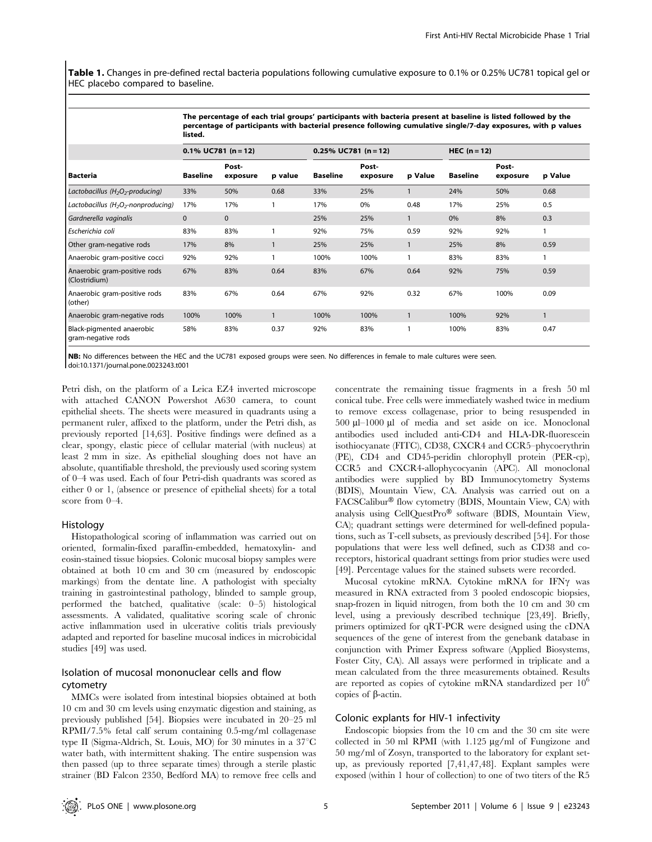Table 1. Changes in pre-defined rectal bacteria populations following cumulative exposure to 0.1% or 0.25% UC781 topical gel or HEC placebo compared to baseline.

The percentage of each trial groups' participants with bacteria present at baseline is listed followed by the

|                                                             | percentage of participants with bacterial presence following cumulative single/7-day exposures, with p values<br>listed. |                        |              |          |                         |         |                 |                   |              |  |  |  |
|-------------------------------------------------------------|--------------------------------------------------------------------------------------------------------------------------|------------------------|--------------|----------|-------------------------|---------|-----------------|-------------------|--------------|--|--|--|
|                                                             |                                                                                                                          | $0.1\%$ UC781 (n = 12) |              |          | $0.25\%$ UC781 (n = 12) |         | HEC $(n=12)$    |                   |              |  |  |  |
| Bacteria                                                    | <b>Baseline</b>                                                                                                          | Post-<br>exposure      | p value      | Baseline | Post-<br>exposure       | p Value | <b>Baseline</b> | Post-<br>exposure | p Value      |  |  |  |
| Lactobacillus (H <sub>2</sub> O <sub>2</sub> -producing)    | 33%                                                                                                                      | 50%                    | 0.68         | 33%      | 25%                     |         | 24%             | 50%               | 0.68         |  |  |  |
| Lactobacillus (H <sub>2</sub> O <sub>2</sub> -nonproducing) | 17%                                                                                                                      | 17%                    |              | 17%      | 0%                      | 0.48    | 17%             | 25%               | 0.5          |  |  |  |
| Gardnerella vaginalis                                       | $\mathbf{0}$                                                                                                             | $\mathbf{0}$           |              | 25%      | 25%                     |         | 0%              | 8%                | 0.3          |  |  |  |
| Escherichia coli                                            | 83%                                                                                                                      | 83%                    |              | 92%      | 75%                     | 0.59    | 92%             | 92%               | $\mathbf{1}$ |  |  |  |
| Other gram-negative rods                                    | 17%                                                                                                                      | 8%                     |              | 25%      | 25%                     |         | 25%             | 8%                | 0.59         |  |  |  |
| Anaerobic gram-positive cocci                               | 92%                                                                                                                      | 92%                    |              | 100%     | 100%                    |         | 83%             | 83%               |              |  |  |  |
| Anaerobic gram-positive rods<br>(Clostridium)               | 67%                                                                                                                      | 83%                    | 0.64         | 83%      | 67%                     | 0.64    | 92%             | 75%               | 0.59         |  |  |  |
| Anaerobic gram-positive rods<br>(other)                     | 83%                                                                                                                      | 67%                    | 0.64         | 67%      | 92%                     | 0.32    | 67%             | 100%              | 0.09         |  |  |  |
| Anaerobic gram-negative rods                                | 100%                                                                                                                     | 100%                   | $\mathbf{1}$ | 100%     | 100%                    |         | 100%            | 92%               | $\mathbf{1}$ |  |  |  |
| Black-pigmented anaerobic                                   | 58%                                                                                                                      | 83%                    | 0.37         | 92%      | 83%                     |         | 100%            | 83%               | 0.47         |  |  |  |

gram-negative rods

NB: No differences between the HEC and the UC781 exposed groups were seen. No differences in female to male cultures were seen. doi:10.1371/journal.pone.0023243.t001

Petri dish, on the platform of a Leica EZ4 inverted microscope with attached CANON Powershot A630 camera, to count epithelial sheets. The sheets were measured in quadrants using a permanent ruler, affixed to the platform, under the Petri dish, as previously reported [14,63]. Positive findings were defined as a clear, spongy, elastic piece of cellular material (with nucleus) at least 2 mm in size. As epithelial sloughing does not have an absolute, quantifiable threshold, the previously used scoring system of 0–4 was used. Each of four Petri-dish quadrants was scored as either 0 or 1, (absence or presence of epithelial sheets) for a total score from 0–4.

#### Histology

Histopathological scoring of inflammation was carried out on oriented, formalin-fixed paraffin-embedded, hematoxylin- and eosin-stained tissue biopsies. Colonic mucosal biopsy samples were obtained at both 10 cm and 30 cm (measured by endoscopic markings) from the dentate line. A pathologist with specialty training in gastrointestinal pathology, blinded to sample group, performed the batched, qualitative (scale: 0–5) histological assessments. A validated, qualitative scoring scale of chronic active inflammation used in ulcerative colitis trials previously adapted and reported for baseline mucosal indices in microbicidal studies [49] was used.

## Isolation of mucosal mononuclear cells and flow cytometry

MMCs were isolated from intestinal biopsies obtained at both 10 cm and 30 cm levels using enzymatic digestion and staining, as previously published [54]. Biopsies were incubated in 20–25 ml RPMI/7.5% fetal calf serum containing 0.5-mg/ml collagenase type II (Sigma-Aldrich, St. Louis, MO) for 30 minutes in a  $37^{\circ}$ C water bath, with intermittent shaking. The entire suspension was then passed (up to three separate times) through a sterile plastic strainer (BD Falcon 2350, Bedford MA) to remove free cells and concentrate the remaining tissue fragments in a fresh 50 ml conical tube. Free cells were immediately washed twice in medium to remove excess collagenase, prior to being resuspended in 500 ml–1000 ml of media and set aside on ice. Monoclonal antibodies used included anti-CD4 and HLA-DR-fluorescein isothiocyanate (FITC), CD38, CXCR4 and CCR5–phycoerythrin (PE), CD4 and CD45-peridin chlorophyll protein (PER-cp), CCR5 and CXCR4-allophycocyanin (APC). All monoclonal antibodies were supplied by BD Immunocytometry Systems (BDIS), Mountain View, CA. Analysis was carried out on a  $FACSCalibur^@$  flow cytometry (BDIS, Mountain View, CA) with analysis using  $CellQuestPro^{\circledR}$  software (BDIS, Mountain View, CA); quadrant settings were determined for well-defined populations, such as T-cell subsets, as previously described [54]. For those populations that were less well defined, such as CD38 and coreceptors, historical quadrant settings from prior studies were used [49]. Percentage values for the stained subsets were recorded.

Mucosal cytokine mRNA. Cytokine mRNA for IFNy was measured in RNA extracted from 3 pooled endoscopic biopsies, snap-frozen in liquid nitrogen, from both the 10 cm and 30 cm level, using a previously described technique [23,49]. Briefly, primers optimized for qRT-PCR were designed using the cDNA sequences of the gene of interest from the genebank database in conjunction with Primer Express software (Applied Biosystems, Foster City, CA). All assays were performed in triplicate and a mean calculated from the three measurements obtained. Results are reported as copies of cytokine mRNA standardized per  $10^6$ copies of  $\beta$ -actin.

## Colonic explants for HIV-1 infectivity

Endoscopic biopsies from the 10 cm and the 30 cm site were collected in 50 ml RPMI (with  $1.125 \mu g/ml$  of Fungizone and 50 mg/ml of Zosyn, transported to the laboratory for explant setup, as previously reported [7,41,47,48]. Explant samples were exposed (within 1 hour of collection) to one of two titers of the R5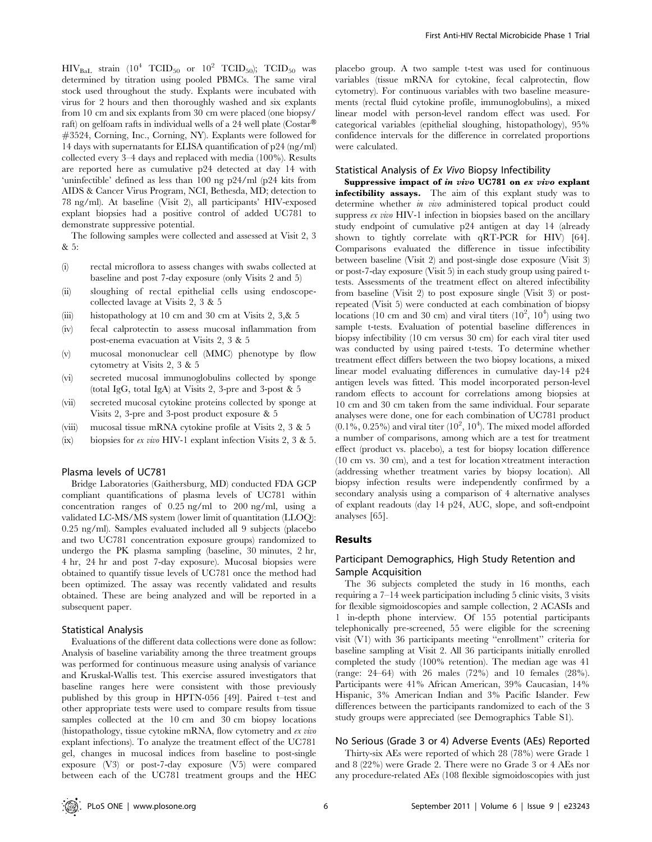$HIV_{\text{Bal}}$  strain  $(10^4 \text{ TCID}_{50} \text{ or } 10^2 \text{ TCID}_{50})$ ;  $TCID_{50}$  was determined by titration using pooled PBMCs. The same viral stock used throughout the study. Explants were incubated with virus for 2 hours and then thoroughly washed and six explants from 10 cm and six explants from 30 cm were placed (one biopsy/ raft) on gelfoam rafts in individual wells of a 24 well plate ( $\text{Costar}^{\circledR}$ ) #3524, Corning, Inc., Corning, NY). Explants were followed for 14 days with supernatants for ELISA quantification of p24 (ng/ml) collected every 3–4 days and replaced with media (100%). Results are reported here as cumulative p24 detected at day 14 with 'uninfectible' defined as less than 100 ng p24/ml (p24 kits from AIDS & Cancer Virus Program, NCI, Bethesda, MD; detection to 78 ng/ml). At baseline (Visit 2), all participants' HIV-exposed explant biopsies had a positive control of added UC781 to demonstrate suppressive potential.

The following samples were collected and assessed at Visit 2, 3  $& 5 \cdot$ 

- (i) rectal microflora to assess changes with swabs collected at baseline and post 7-day exposure (only Visits 2 and 5)
- (ii) sloughing of rectal epithelial cells using endoscopecollected lavage at Visits 2, 3 & 5
- (iii) histopathology at 10 cm and 30 cm at Visits 2, 3,& 5
- (iv) fecal calprotectin to assess mucosal inflammation from post-enema evacuation at Visits 2, 3 & 5
- (v) mucosal mononuclear cell (MMC) phenotype by flow cytometry at Visits 2, 3 & 5
- (vi) secreted mucosal immunoglobulins collected by sponge (total IgG, total IgA) at Visits 2, 3-pre and 3-post & 5
- (vii) secreted mucosal cytokine proteins collected by sponge at Visits 2, 3-pre and 3-post product exposure & 5
- (viii) mucosal tissue mRNA cytokine profile at Visits 2, 3 & 5
- (ix) biopsies for ex vivo HIV-1 explant infection Visits 2, 3 & 5.

#### Plasma levels of UC781

Bridge Laboratories (Gaithersburg, MD) conducted FDA GCP compliant quantifications of plasma levels of UC781 within concentration ranges of 0.25 ng/ml to 200 ng/ml, using a validated LC-MS/MS system (lower limit of quantitation (LLOQ): 0.25 ng/ml). Samples evaluated included all 9 subjects (placebo and two UC781 concentration exposure groups) randomized to undergo the PK plasma sampling (baseline, 30 minutes, 2 hr, 4 hr, 24 hr and post 7-day exposure). Mucosal biopsies were obtained to quantify tissue levels of UC781 once the method had been optimized. The assay was recently validated and results obtained. These are being analyzed and will be reported in a subsequent paper.

#### Statistical Analysis

Evaluations of the different data collections were done as follow: Analysis of baseline variability among the three treatment groups was performed for continuous measure using analysis of variance and Kruskal-Wallis test. This exercise assured investigators that baseline ranges here were consistent with those previously published by this group in HPTN-056 [49]. Paired t–test and other appropriate tests were used to compare results from tissue samples collected at the 10 cm and 30 cm biopsy locations (histopathology, tissue cytokine mRNA, flow cytometry and ex vivo explant infections). To analyze the treatment effect of the UC781 gel, changes in mucosal indices from baseline to post-single exposure (V3) or post-7-day exposure (V5) were compared between each of the UC781 treatment groups and the HEC

placebo group. A two sample t-test was used for continuous variables (tissue mRNA for cytokine, fecal calprotectin, flow cytometry). For continuous variables with two baseline measurements (rectal fluid cytokine profile, immunoglobulins), a mixed linear model with person-level random effect was used. For categorical variables (epithelial sloughing, histopathology), 95% confidence intervals for the difference in correlated proportions were calculated.

#### Statistical Analysis of Ex Vivo Biopsy Infectibility

Suppressive impact of in vivo UC781 on ex vivo explant infectibility assays. The aim of this explant study was to determine whether in vivo administered topical product could suppress ex vivo HIV-1 infection in biopsies based on the ancillary study endpoint of cumulative p24 antigen at day 14 (already shown to tightly correlate with qRT-PCR for HIV) [64]. Comparisons evaluated the difference in tissue infectibility between baseline (Visit 2) and post-single dose exposure (Visit 3) or post-7-day exposure (Visit 5) in each study group using paired ttests. Assessments of the treatment effect on altered infectibility from baseline (Visit 2) to post exposure single (Visit 3) or postrepeated (Visit 5) were conducted at each combination of biopsy locations (10 cm and 30 cm) and viral titers  $(10^2, 10^4)$  using two sample t-tests. Evaluation of potential baseline differences in biopsy infectibility (10 cm versus 30 cm) for each viral titer used was conducted by using paired t-tests. To determine whether treatment effect differs between the two biopsy locations, a mixed linear model evaluating differences in cumulative day-14 p24 antigen levels was fitted. This model incorporated person-level random effects to account for correlations among biopsies at 10 cm and 30 cm taken from the same individual. Four separate analyses were done, one for each combination of UC781 product  $(0.1\%, 0.25\%)$  and viral titer  $(10^2, 10^4)$ . The mixed model afforded a number of comparisons, among which are a test for treatment effect (product vs. placebo), a test for biopsy location difference  $(10 \text{ cm vs. } 30 \text{ cm})$ , and a test for location  $\times$ treatment interaction (addressing whether treatment varies by biopsy location). All biopsy infection results were independently confirmed by a secondary analysis using a comparison of 4 alternative analyses of explant readouts (day 14 p24, AUC, slope, and soft-endpoint analyses [65].

#### Results

## Participant Demographics, High Study Retention and Sample Acquisition

The 36 subjects completed the study in 16 months, each requiring a 7–14 week participation including 5 clinic visits, 3 visits for flexible sigmoidoscopies and sample collection, 2 ACASIs and 1 in-depth phone interview. Of 155 potential participants telephonically pre-screened, 55 were eligible for the screening visit (V1) with 36 participants meeting ''enrollment'' criteria for baseline sampling at Visit 2. All 36 participants initially enrolled completed the study (100% retention). The median age was 41 (range: 24–64) with 26 males (72%) and 10 females (28%). Participants were 41% African American, 39% Caucasian, 14% Hispanic, 3% American Indian and 3% Pacific Islander. Few differences between the participants randomized to each of the 3 study groups were appreciated (see Demographics Table S1).

#### No Serious (Grade 3 or 4) Adverse Events (AEs) Reported

Thirty-six AEs were reported of which 28 (78%) were Grade 1 and 8 (22%) were Grade 2. There were no Grade 3 or 4 AEs nor any procedure-related AEs (108 flexible sigmoidoscopies with just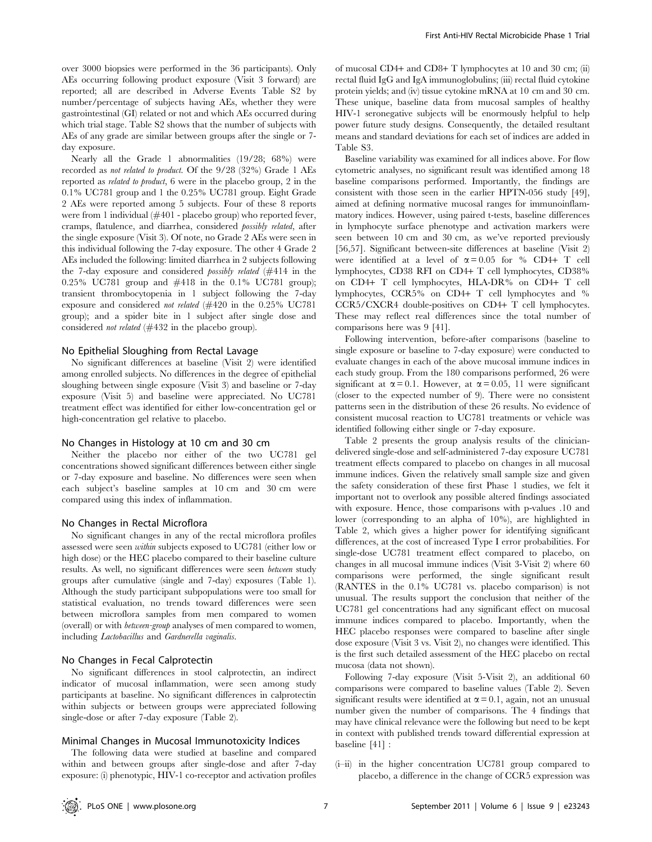over 3000 biopsies were performed in the 36 participants). Only AEs occurring following product exposure (Visit 3 forward) are reported; all are described in Adverse Events Table S2 by number/percentage of subjects having AEs, whether they were gastrointestinal (GI) related or not and which AEs occurred during which trial stage. Table S2 shows that the number of subjects with AEs of any grade are similar between groups after the single or 7 day exposure.

Nearly all the Grade 1 abnormalities (19/28; 68%) were recorded as not related to product. Of the 9/28 (32%) Grade 1 AEs reported as related to product, 6 were in the placebo group, 2 in the 0.1% UC781 group and 1 the 0.25% UC781 group. Eight Grade 2 AEs were reported among 5 subjects. Four of these 8 reports were from 1 individual (#401 - placebo group) who reported fever, cramps, flatulence, and diarrhea, considered possibly related, after the single exposure (Visit 3). Of note, no Grade 2 AEs were seen in this individual following the 7-day exposure. The other 4 Grade 2 AEs included the following: limited diarrhea in 2 subjects following the 7-day exposure and considered possibly related (#414 in the 0.25% UC781 group and #418 in the 0.1% UC781 group); transient thrombocytopenia in 1 subject following the 7-day exposure and considered not related (#420 in the 0.25% UC781 group); and a spider bite in 1 subject after single dose and considered not related (#432 in the placebo group).

#### No Epithelial Sloughing from Rectal Lavage

No significant differences at baseline (Visit 2) were identified among enrolled subjects. No differences in the degree of epithelial sloughing between single exposure (Visit 3) and baseline or 7-day exposure (Visit 5) and baseline were appreciated. No UC781 treatment effect was identified for either low-concentration gel or high-concentration gel relative to placebo.

#### No Changes in Histology at 10 cm and 30 cm

Neither the placebo nor either of the two UC781 gel concentrations showed significant differences between either single or 7-day exposure and baseline. No differences were seen when each subject's baseline samples at 10 cm and 30 cm were compared using this index of inflammation.

#### No Changes in Rectal Microflora

No significant changes in any of the rectal microflora profiles assessed were seen within subjects exposed to UC781 (either low or high dose) or the HEC placebo compared to their baseline culture results. As well, no significant differences were seen between study groups after cumulative (single and 7-day) exposures (Table 1). Although the study participant subpopulations were too small for statistical evaluation, no trends toward differences were seen between microflora samples from men compared to women (overall) or with between-group analyses of men compared to women, including Lactobacillus and Gardnerella vaginalis.

## No Changes in Fecal Calprotectin

No significant differences in stool calprotectin, an indirect indicator of mucosal inflammation, were seen among study participants at baseline. No significant differences in calprotectin within subjects or between groups were appreciated following single-dose or after 7-day exposure (Table 2).

#### Minimal Changes in Mucosal Immunotoxicity Indices

The following data were studied at baseline and compared within and between groups after single-dose and after 7-day exposure: (i) phenotypic, HIV-1 co-receptor and activation profiles

of mucosal CD4+ and CD8+ T lymphocytes at 10 and 30 cm; (ii) rectal fluid IgG and IgA immunoglobulins; (iii) rectal fluid cytokine protein yields; and (iv) tissue cytokine mRNA at 10 cm and 30 cm. These unique, baseline data from mucosal samples of healthy HIV-1 seronegative subjects will be enormously helpful to help power future study designs. Consequently, the detailed resultant means and standard deviations for each set of indices are added in Table S3.

Baseline variability was examined for all indices above. For flow cytometric analyses, no significant result was identified among 18 baseline comparisons performed. Importantly, the findings are consistent with those seen in the earlier HPTN-056 study [49], aimed at defining normative mucosal ranges for immunoinflammatory indices. However, using paired t-tests, baseline differences in lymphocyte surface phenotype and activation markers were seen between 10 cm and 30 cm, as we've reported previously [56,57]. Significant between-site differences at baseline (Visit 2) were identified at a level of  $\alpha = 0.05$  for % CD4+ T cell lymphocytes, CD38 RFI on CD4+ T cell lymphocytes, CD38% on CD4+ T cell lymphocytes, HLA-DR% on CD4+ T cell lymphocytes, CCR5% on CD4+ T cell lymphocytes and % CCR5/CXCR4 double-positives on CD4+ T cell lymphocytes. These may reflect real differences since the total number of comparisons here was 9 [41].

Following intervention, before-after comparisons (baseline to single exposure or baseline to 7-day exposure) were conducted to evaluate changes in each of the above mucosal immune indices in each study group. From the 180 comparisons performed, 26 were significant at  $\alpha = 0.1$ . However, at  $\alpha = 0.05$ , 11 were significant (closer to the expected number of 9). There were no consistent patterns seen in the distribution of these 26 results. No evidence of consistent mucosal reaction to UC781 treatments or vehicle was identified following either single or 7-day exposure.

Table 2 presents the group analysis results of the cliniciandelivered single-dose and self-administered 7-day exposure UC781 treatment effects compared to placebo on changes in all mucosal immune indices. Given the relatively small sample size and given the safety consideration of these first Phase 1 studies, we felt it important not to overlook any possible altered findings associated with exposure. Hence, those comparisons with p-values .10 and lower (corresponding to an alpha of 10%), are highlighted in Table 2, which gives a higher power for identifying significant differences, at the cost of increased Type I error probabilities. For single-dose UC781 treatment effect compared to placebo, on changes in all mucosal immune indices (Visit 3-Visit 2) where 60 comparisons were performed, the single significant result (RANTES in the 0.1% UC781 vs. placebo comparison) is not unusual. The results support the conclusion that neither of the UC781 gel concentrations had any significant effect on mucosal immune indices compared to placebo. Importantly, when the HEC placebo responses were compared to baseline after single dose exposure (Visit 3 vs. Visit 2), no changes were identified. This is the first such detailed assessment of the HEC placebo on rectal mucosa (data not shown).

Following 7-day exposure (Visit 5-Visit 2), an additional 60 comparisons were compared to baseline values (Table 2). Seven significant results were identified at  $\alpha = 0.1$ , again, not an unusual number given the number of comparisons. The 4 findings that may have clinical relevance were the following but need to be kept in context with published trends toward differential expression at baseline [41] :

(i–ii) in the higher concentration UC781 group compared to placebo, a difference in the change of CCR5 expression was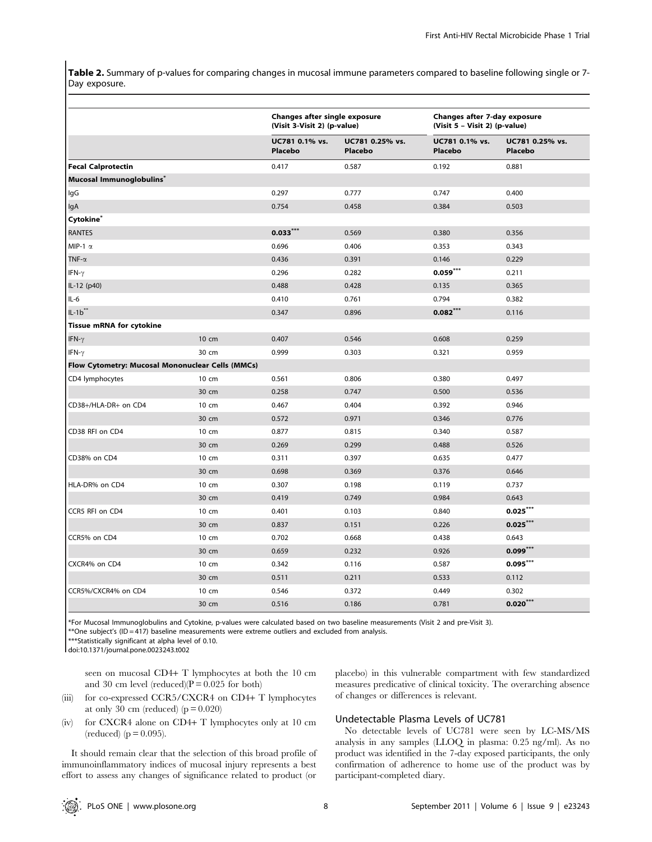Table 2. Summary of p-values for comparing changes in mucosal immune parameters compared to baseline following single or 7-Day exposure.

|                                                  |       | Changes after single exposure<br>(Visit 3-Visit 2) (p-value) |                            | Changes after 7-day exposure<br>(Visit 5 - Visit 2) (p-value) |                                   |  |
|--------------------------------------------------|-------|--------------------------------------------------------------|----------------------------|---------------------------------------------------------------|-----------------------------------|--|
|                                                  |       | UC781 0.1% vs.<br>Placebo                                    | UC781 0.25% vs.<br>Placebo | UC781 0.1% vs.<br>Placebo                                     | UC781 0.25% vs.<br><b>Placebo</b> |  |
| <b>Fecal Calprotectin</b>                        |       | 0.417                                                        | 0.587                      | 0.192                                                         | 0.881                             |  |
| Mucosal Immunoglobulins*                         |       |                                                              |                            |                                                               |                                   |  |
| lgG                                              |       | 0.297                                                        | 0.777                      | 0.747                                                         | 0.400                             |  |
| lgA                                              |       | 0.754                                                        | 0.458                      | 0.384                                                         | 0.503                             |  |
| Cytokine <sup>*</sup>                            |       |                                                              |                            |                                                               |                                   |  |
| <b>RANTES</b>                                    |       | $0.033$ ***                                                  | 0.569                      | 0.380                                                         | 0.356                             |  |
| MIP-1 $\alpha$                                   |       | 0.696                                                        | 0.406                      | 0.353                                                         | 0.343                             |  |
| TNF- $\alpha$                                    |       | 0.436                                                        | 0.391                      | 0.146                                                         | 0.229                             |  |
| IFN- $\gamma$                                    |       | 0.296                                                        | 0.282                      | $0.059***$                                                    | 0.211                             |  |
| IL-12 (p40)                                      |       | 0.488                                                        | 0.428                      | 0.135                                                         | 0.365                             |  |
| $IL-6$                                           |       | 0.410                                                        | 0.761                      | 0.794                                                         | 0.382                             |  |
| $IL-1b**$                                        |       | 0.347                                                        | 0.896                      | $0.082***$                                                    | 0.116                             |  |
| <b>Tissue mRNA for cytokine</b>                  |       |                                                              |                            |                                                               |                                   |  |
| IFN- $\gamma$                                    | 10 cm | 0.407                                                        | 0.546                      | 0.608                                                         | 0.259                             |  |
| IFN- $\gamma$                                    | 30 cm | 0.999                                                        | 0.303                      | 0.321                                                         | 0.959                             |  |
| Flow Cytometry: Mucosal Mononuclear Cells (MMCs) |       |                                                              |                            |                                                               |                                   |  |
| CD4 lymphocytes                                  | 10 cm | 0.561                                                        | 0.806                      | 0.380                                                         | 0.497                             |  |
|                                                  | 30 cm | 0.258                                                        | 0.747                      | 0.500                                                         | 0.536                             |  |
| CD38+/HLA-DR+ on CD4                             | 10 cm | 0.467                                                        | 0.404                      | 0.392                                                         | 0.946                             |  |
|                                                  | 30 cm | 0.572                                                        | 0.971                      | 0.346                                                         | 0.776                             |  |
| CD38 RFI on CD4                                  | 10 cm | 0.877                                                        | 0.815                      | 0.340                                                         | 0.587                             |  |
|                                                  | 30 cm | 0.269                                                        | 0.299                      | 0.488                                                         | 0.526                             |  |
| CD38% on CD4                                     | 10 cm | 0.311                                                        | 0.397                      | 0.635                                                         | 0.477                             |  |
|                                                  | 30 cm | 0.698                                                        | 0.369                      | 0.376                                                         | 0.646                             |  |
| HLA-DR% on CD4                                   | 10 cm | 0.307                                                        | 0.198                      | 0.119                                                         | 0.737                             |  |
|                                                  | 30 cm | 0.419                                                        | 0.749                      | 0.984                                                         | 0.643                             |  |
| CCR5 RFI on CD4                                  | 10 cm | 0.401                                                        | 0.103                      | 0.840                                                         | $0.025***$                        |  |
|                                                  | 30 cm | 0.837                                                        | 0.151                      | 0.226                                                         | $0.025***$                        |  |
| CCR5% on CD4                                     | 10 cm | 0.702                                                        | 0.668                      | 0.438                                                         | 0.643                             |  |
|                                                  | 30 cm | 0.659                                                        | 0.232                      | 0.926                                                         | $0.099$ ***                       |  |
| CXCR4% on CD4                                    | 10 cm | 0.342                                                        | 0.116                      | 0.587                                                         | $0.095***$                        |  |
|                                                  | 30 cm | 0.511                                                        | 0.211                      | 0.533                                                         | 0.112                             |  |
| CCR5%/CXCR4% on CD4                              | 10 cm | 0.546                                                        | 0.372                      | 0.449                                                         | 0.302                             |  |
|                                                  | 30 cm | 0.516                                                        | 0.186                      | 0.781                                                         | $0.020***$                        |  |

\*For Mucosal Immunoglobulins and Cytokine, p-values were calculated based on two baseline measurements (Visit 2 and pre-Visit 3).

\*\*One subject's (ID = 417) baseline measurements were extreme outliers and excluded from analysis.

\*\*\*Statistically significant at alpha level of 0.10.

doi:10.1371/journal.pone.0023243.t002

seen on mucosal CD4+ T lymphocytes at both the 10 cm and 30 cm level (reduced)( $P = 0.025$  for both)

- (iii) for co-expressed CCR5/CXCR4 on CD4+ T lymphocytes at only 30 cm (reduced)  $(p = 0.020)$
- (iv) for CXCR4 alone on CD4+ T lymphocytes only at 10 cm  $(\text{reduced}) (p = 0.095).$

It should remain clear that the selection of this broad profile of immunoinflammatory indices of mucosal injury represents a best effort to assess any changes of significance related to product (or placebo) in this vulnerable compartment with few standardized measures predicative of clinical toxicity. The overarching absence of changes or differences is relevant.

# Undetectable Plasma Levels of UC781

No detectable levels of UC781 were seen by LC-MS/MS analysis in any samples (LLOQ in plasma: 0.25 ng/ml). As no product was identified in the 7-day exposed participants, the only confirmation of adherence to home use of the product was by participant-completed diary.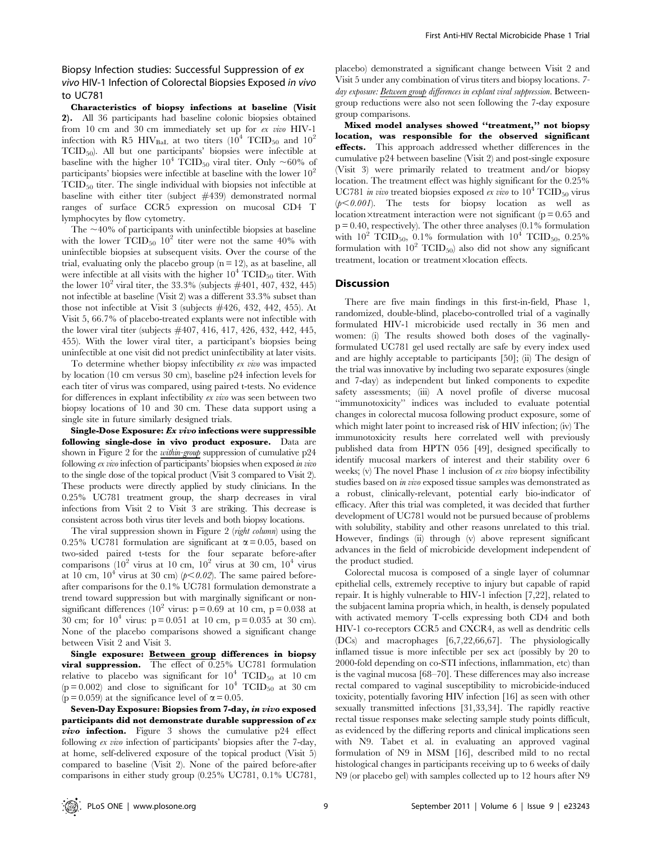# Biopsy Infection studies: Successful Suppression of ex vivo HIV-1 Infection of Colorectal Biopsies Exposed in vivo to UC781

Characteristics of biopsy infections at baseline (Visit 2). All 36 participants had baseline colonic biopsies obtained from 10 cm and 30 cm immediately set up for ex vivo HIV-1 infection with R5 HIV<sub>BaL</sub> at two titers  $(10^4 \text{ TCID}_{50}$  and  $10^2$  $TCID_{50}$ . All but one participants' biopsies were infectible at baseline with the higher  $10^4$  TCID<sub>50</sub> viral titer. Only  $\sim 60\%$  of participants' biopsies were infectible at baseline with the lower  $10<sup>2</sup>$ TCID50 titer. The single individual with biopsies not infectible at baseline with either titer (subject #439) demonstrated normal ranges of surface CCR5 expression on mucosal CD4 T lymphocytes by flow cytometry.

The  $\sim$ 40% of participants with uninfectible biopsies at baseline with the lower  $TCID_{50}$  10<sup>2</sup> titer were not the same 40% with uninfectible biopsies at subsequent visits. Over the course of the trial, evaluating only the placebo group  $(n = 12)$ , as at baseline, all were infectible at all visits with the higher  $10^4$  TCID<sub>50</sub> titer. With the lower  $10^2$  viral titer, the 33.3% (subjects  $\#401, 407, 432, 445$ ) not infectible at baseline (Visit 2) was a different 33.3% subset than those not infectible at Visit 3 (subjects #426, 432, 442, 455). At Visit 5, 66.7% of placebo-treated explants were not infectible with the lower viral titer (subjects #407, 416, 417, 426, 432, 442, 445, 455). With the lower viral titer, a participant's biopsies being uninfectible at one visit did not predict uninfectibility at later visits.

To determine whether biopsy infectibility ex vivo was impacted by location (10 cm versus 30 cm), baseline p24 infection levels for each titer of virus was compared, using paired t-tests. No evidence for differences in explant infectibility ex vivo was seen between two biopsy locations of 10 and 30 cm. These data support using a single site in future similarly designed trials.

Single-Dose Exposure: Ex vivo infections were suppressible following single-dose in vivo product exposure. Data are shown in Figure 2 for the *within-group* suppression of cumulative p24 following ex vivo infection of participants' biopsies when exposed in vivo to the single dose of the topical product (Visit 3 compared to Visit 2). These products were directly applied by study clinicians. In the 0.25% UC781 treatment group, the sharp decreases in viral infections from Visit 2 to Visit 3 are striking. This decrease is consistent across both virus titer levels and both biopsy locations.

The viral suppression shown in Figure 2 (*right column*) using the 0.25% UC781 formulation are significant at  $\alpha = 0.05$ , based on two-sided paired t-tests for the four separate before-after comparisons  $(10^2 \text{ virus at } 10 \text{ cm}, 10^2 \text{ virus at } 30 \text{ cm}, 10^4 \text{ virus})$ at 10 cm,  $10^4$  virus at 30 cm) ( $p<0.02$ ). The same paired beforeafter comparisons for the 0.1% UC781 formulation demonstrate a trend toward suppression but with marginally significant or nonsignificant differences (10<sup>2</sup> virus: p = 0.69 at 10 cm, p = 0.038 at 30 cm; for  $10^4$  virus:  $p = 0.051$  at 10 cm,  $p = 0.035$  at 30 cm). None of the placebo comparisons showed a significant change between Visit 2 and Visit 3.

Single exposure: Between group differences in biopsy viral suppression. The effect of 0.25% UC781 formulation relative to placebo was significant for  $10^4$  TCID<sub>50</sub> at 10 cm  $(p = 0.002)$  and close to significant for  $10^4$  TCID<sub>50</sub> at 30 cm ( $p = 0.059$ ) at the significance level of  $\alpha = 0.05$ .

Seven-Day Exposure: Biopsies from 7-day, in vivo exposed participants did not demonstrate durable suppression of ex **vivo infection.** Figure 3 shows the cumulative  $p24$  effect following ex vivo infection of participants' biopsies after the 7-day, at home, self-delivered exposure of the topical product (Visit 5) compared to baseline (Visit 2). None of the paired before-after comparisons in either study group (0.25% UC781, 0.1% UC781,

placebo) demonstrated a significant change between Visit 2 and Visit 5 under any combination of virus titers and biopsy locations. 7 day exposure: Between group differences in explant viral suppression. Betweengroup reductions were also not seen following the 7-day exposure group comparisons.

Mixed model analyses showed ''treatment,'' not biopsy location, was responsible for the observed significant effects. This approach addressed whether differences in the cumulative p24 between baseline (Visit 2) and post-single exposure (Visit 3) were primarily related to treatment and/or biopsy location. The treatment effect was highly significant for the 0.25% UC781 in vivo treated biopsies exposed ex vivo to  $10^4$  TCID<sub>50</sub> virus  $(p<0.001)$ . The tests for biopsy location as well as location  $\times$ treatment interaction were not significant (p = 0.65 and  $p = 0.40$ , respectively). The other three analyses  $(0.1\%$  formulation with  $10^2$  TCID<sub>50</sub>, 0.1% formulation with  $10^4$  TCID<sub>50</sub>, 0.25% formulation with  $10^2$  TCID<sub>50</sub>) also did not show any significant treatment, location or treatment×location effects.

## **Discussion**

There are five main findings in this first-in-field, Phase 1, randomized, double-blind, placebo-controlled trial of a vaginally formulated HIV-1 microbicide used rectally in 36 men and women: (i) The results showed both doses of the vaginallyformulated UC781 gel used rectally are safe by every index used and are highly acceptable to participants [50]; (ii) The design of the trial was innovative by including two separate exposures (single and 7-day) as independent but linked components to expedite safety assessments; (iii) A novel profile of diverse mucosal ''immunotoxicity'' indices was included to evaluate potential changes in colorectal mucosa following product exposure, some of which might later point to increased risk of HIV infection; (iv) The immunotoxicity results here correlated well with previously published data from HPTN 056 [49], designed specifically to identify mucosal markers of interest and their stability over 6 weeks; (v) The novel Phase 1 inclusion of ex vivo biopsy infectibility studies based on in vivo exposed tissue samples was demonstrated as a robust, clinically-relevant, potential early bio-indicator of efficacy. After this trial was completed, it was decided that further development of UC781 would not be pursued because of problems with solubility, stability and other reasons unrelated to this trial. However, findings (ii) through (v) above represent significant advances in the field of microbicide development independent of the product studied.

Colorectal mucosa is composed of a single layer of columnar epithelial cells, extremely receptive to injury but capable of rapid repair. It is highly vulnerable to HIV-1 infection [7,22], related to the subjacent lamina propria which, in health, is densely populated with activated memory T-cells expressing both CD4 and both HIV-1 co-receptors CCR5 and CXCR4, as well as dendritic cells (DCs) and macrophages [6,7,22,66,67]. The physiologically inflamed tissue is more infectible per sex act (possibly by 20 to 2000-fold depending on co-STI infections, inflammation, etc) than is the vaginal mucosa [68–70]. These differences may also increase rectal compared to vaginal susceptibility to microbicide-induced toxicity, potentially favoring HIV infection [16] as seen with other sexually transmitted infections [31,33,34]. The rapidly reactive rectal tissue responses make selecting sample study points difficult, as evidenced by the differing reports and clinical implications seen with N9. Tabet et al. in evaluating an approved vaginal formulation of N9 in MSM [16], described mild to no rectal histological changes in participants receiving up to 6 weeks of daily N9 (or placebo gel) with samples collected up to 12 hours after N9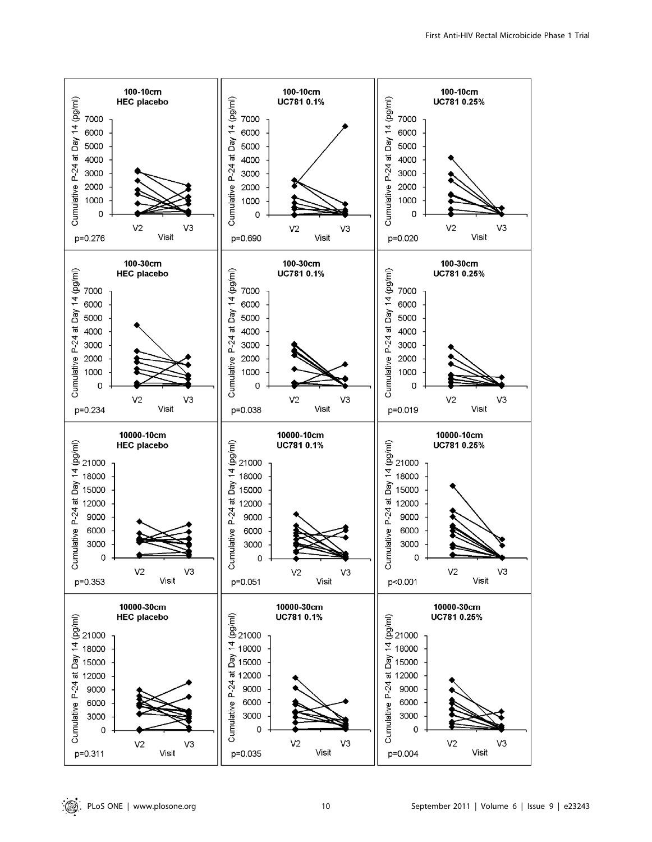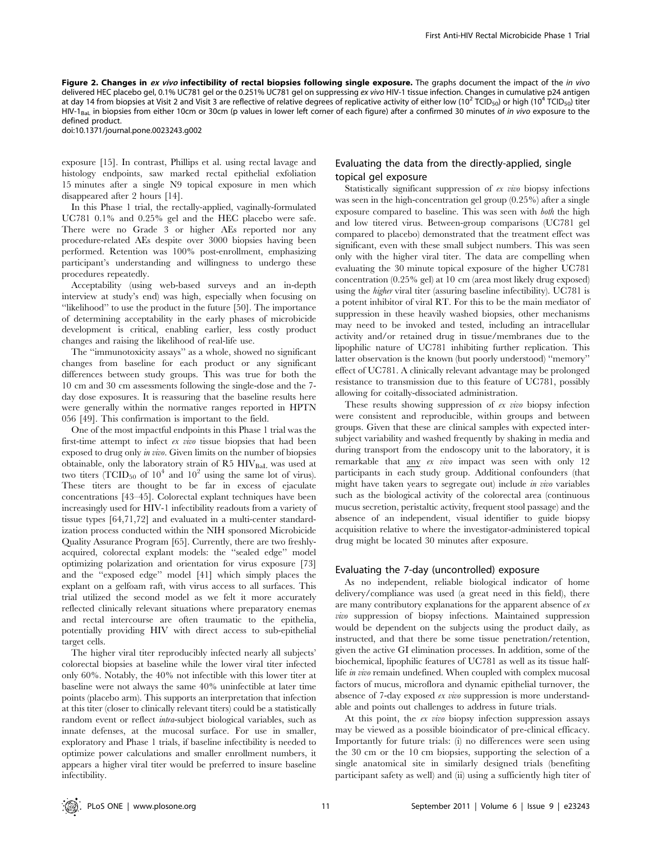Figure 2. Changes in ex vivo infectibility of rectal biopsies following single exposure. The graphs document the impact of the in vivo delivered HEC placebo gel, 0.1% UC781 gel or the 0.251% UC781 gel on suppressing ex vivo HIV-1 tissue infection. Changes in cumulative p24 antigen at day 14 from biopsies at Visit 2 and Visit 3 are reflective of relative degrees of replicative activity of either low (10<sup>2</sup> TCID<sub>50</sub>) or high (10<sup>4</sup> TCID<sub>50</sub>) titer HIV-1<sub>BaL</sub> in biopsies from either 10cm or 30cm (p values in lower left corner of each figure) after a confirmed 30 minutes of in vivo exposure to the defined product.

doi:10.1371/journal.pone.0023243.g002

exposure [15]. In contrast, Phillips et al. using rectal lavage and histology endpoints, saw marked rectal epithelial exfoliation 15 minutes after a single N9 topical exposure in men which disappeared after 2 hours [14].

In this Phase 1 trial, the rectally-applied, vaginally-formulated UC781 0.1% and 0.25% gel and the HEC placebo were safe. There were no Grade 3 or higher AEs reported nor any procedure-related AEs despite over 3000 biopsies having been performed. Retention was 100% post-enrollment, emphasizing participant's understanding and willingness to undergo these procedures repeatedly.

Acceptability (using web-based surveys and an in-depth interview at study's end) was high, especially when focusing on ''likelihood'' to use the product in the future [50]. The importance of determining acceptability in the early phases of microbicide development is critical, enabling earlier, less costly product changes and raising the likelihood of real-life use.

The ''immunotoxicity assays'' as a whole, showed no significant changes from baseline for each product or any significant differences between study groups. This was true for both the 10 cm and 30 cm assessments following the single-dose and the 7 day dose exposures. It is reassuring that the baseline results here were generally within the normative ranges reported in HPTN 056 [49]. This confirmation is important to the field.

One of the most impactful endpoints in this Phase 1 trial was the first-time attempt to infect ex vivo tissue biopsies that had been exposed to drug only in vivo. Given limits on the number of biopsies obtainable, only the laboratory strain of R5 HIVBaL was used at two titers (TCID<sub>50</sub> of  $10^4$  and  $10^2$  using the same lot of virus). These titers are thought to be far in excess of ejaculate concentrations [43–45]. Colorectal explant techniques have been increasingly used for HIV-1 infectibility readouts from a variety of tissue types [64,71,72] and evaluated in a multi-center standardization process conducted within the NIH sponsored Microbicide Quality Assurance Program [65]. Currently, there are two freshlyacquired, colorectal explant models: the ''sealed edge'' model optimizing polarization and orientation for virus exposure [73] and the ''exposed edge'' model [41] which simply places the explant on a gelfoam raft, with virus access to all surfaces. This trial utilized the second model as we felt it more accurately reflected clinically relevant situations where preparatory enemas and rectal intercourse are often traumatic to the epithelia, potentially providing HIV with direct access to sub-epithelial target cells.

The higher viral titer reproducibly infected nearly all subjects' colorectal biopsies at baseline while the lower viral titer infected only 60%. Notably, the 40% not infectible with this lower titer at baseline were not always the same 40% uninfectible at later time points (placebo arm). This supports an interpretation that infection at this titer (closer to clinically relevant titers) could be a statistically random event or reflect intra-subject biological variables, such as innate defenses, at the mucosal surface. For use in smaller, exploratory and Phase 1 trials, if baseline infectibility is needed to optimize power calculations and smaller enrollment numbers, it appears a higher viral titer would be preferred to insure baseline infectibility.

# Evaluating the data from the directly-applied, single topical gel exposure

Statistically significant suppression of ex vivo biopsy infections was seen in the high-concentration gel group (0.25%) after a single exposure compared to baseline. This was seen with both the high and low titered virus. Between-group comparisons (UC781 gel compared to placebo) demonstrated that the treatment effect was significant, even with these small subject numbers. This was seen only with the higher viral titer. The data are compelling when evaluating the 30 minute topical exposure of the higher UC781 concentration (0.25% gel) at 10 cm (area most likely drug exposed) using the higher viral titer (assuring baseline infectibility). UC781 is a potent inhibitor of viral RT. For this to be the main mediator of suppression in these heavily washed biopsies, other mechanisms may need to be invoked and tested, including an intracellular activity and/or retained drug in tissue/membranes due to the lipophilic nature of UC781 inhibiting further replication. This latter observation is the known (but poorly understood) ''memory'' effect of UC781. A clinically relevant advantage may be prolonged resistance to transmission due to this feature of UC781, possibly allowing for coitally-dissociated administration.

These results showing suppression of ex vivo biopsy infection were consistent and reproducible, within groups and between groups. Given that these are clinical samples with expected intersubject variability and washed frequently by shaking in media and during transport from the endoscopy unit to the laboratory, it is remarkable that any ex vivo impact was seen with only 12 participants in each study group. Additional confounders (that might have taken years to segregate out) include *in vivo* variables such as the biological activity of the colorectal area (continuous mucus secretion, peristaltic activity, frequent stool passage) and the absence of an independent, visual identifier to guide biopsy acquisition relative to where the investigator-administered topical drug might be located 30 minutes after exposure.

#### Evaluating the 7-day (uncontrolled) exposure

As no independent, reliable biological indicator of home delivery/compliance was used (a great need in this field), there are many contributory explanations for the apparent absence of ex vivo suppression of biopsy infections. Maintained suppression would be dependent on the subjects using the product daily, as instructed, and that there be some tissue penetration/retention, given the active GI elimination processes. In addition, some of the biochemical, lipophilic features of UC781 as well as its tissue halflife in vivo remain undefined. When coupled with complex mucosal factors of mucus, microflora and dynamic epithelial turnover, the absence of 7-day exposed ex vivo suppression is more understandable and points out challenges to address in future trials.

At this point, the ex vivo biopsy infection suppression assays may be viewed as a possible bioindicator of pre-clinical efficacy. Importantly for future trials: (i) no differences were seen using the 30 cm or the 10 cm biopsies, supporting the selection of a single anatomical site in similarly designed trials (benefiting participant safety as well) and (ii) using a sufficiently high titer of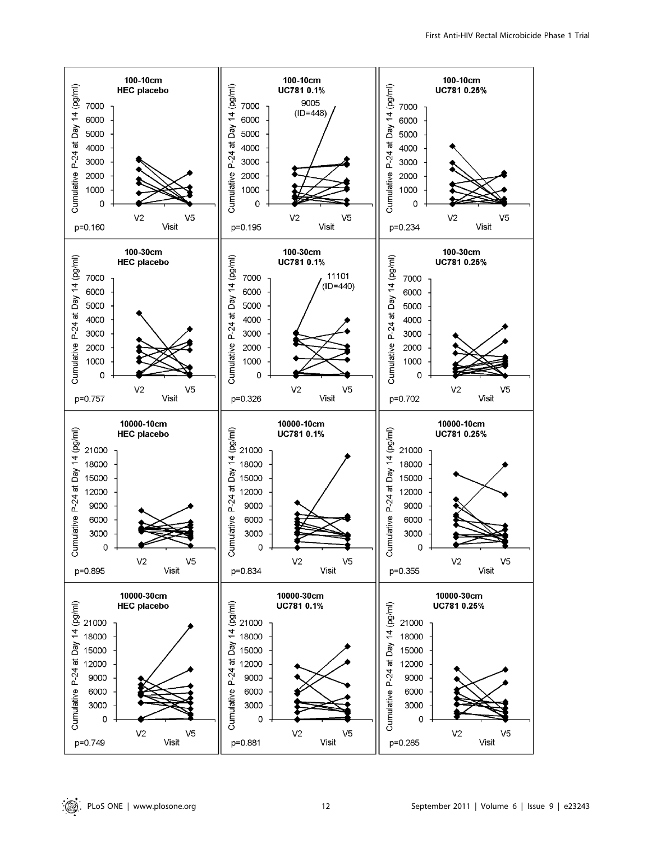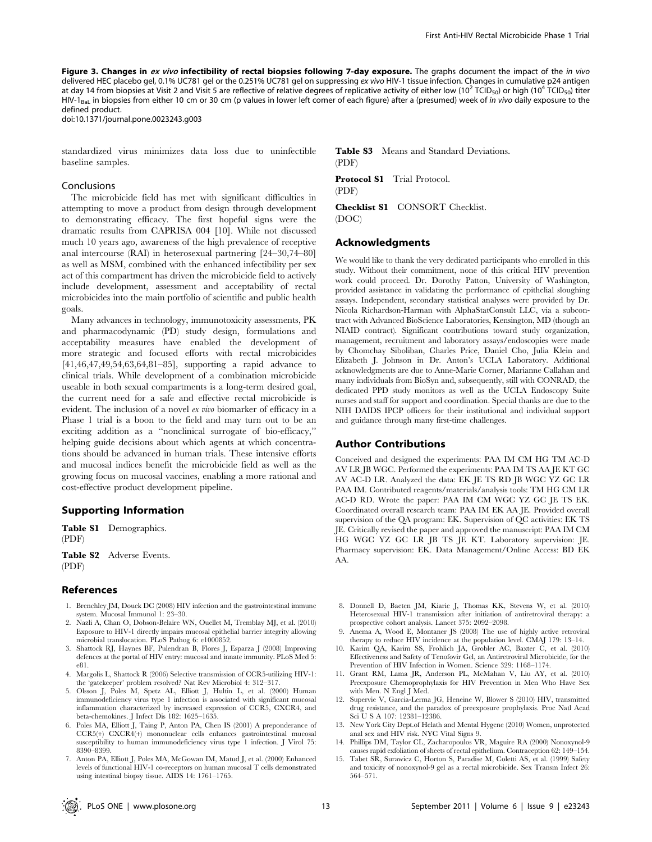Figure 3. Changes in ex vivo infectibility of rectal biopsies following 7-day exposure. The graphs document the impact of the in vivo delivered HEC placebo gel, 0.1% UC781 gel or the 0.251% UC781 gel on suppressing ex vivo HIV-1 tissue infection. Changes in cumulative p24 antigen at day 14 from biopsies at Visit 2 and Visit 5 are reflective of relative degrees of replicative activity of either low (10<sup>2</sup> TCID<sub>50</sub>) or high (10<sup>4</sup> TCID<sub>50</sub>) titer HIV-1<sub>BaL</sub> in biopsies from either 10 cm or 30 cm (p values in lower left corner of each figure) after a (presumed) week of in vivo daily exposure to the defined product.

doi:10.1371/journal.pone.0023243.g003

standardized virus minimizes data loss due to uninfectible baseline samples.

## Conclusions

The microbicide field has met with significant difficulties in attempting to move a product from design through development to demonstrating efficacy. The first hopeful signs were the dramatic results from CAPRISA 004 [10]. While not discussed much 10 years ago, awareness of the high prevalence of receptive anal intercourse (RAI) in heterosexual partnering [24–30,74–80] as well as MSM, combined with the enhanced infectibility per sex act of this compartment has driven the microbicide field to actively include development, assessment and acceptability of rectal microbicides into the main portfolio of scientific and public health goals.

Many advances in technology, immunotoxicity assessments, PK and pharmacodynamic (PD) study design, formulations and acceptability measures have enabled the development of more strategic and focused efforts with rectal microbicides [41,46,47,49,54,63,64,81–85], supporting a rapid advance to clinical trials. While development of a combination microbicide useable in both sexual compartments is a long-term desired goal, the current need for a safe and effective rectal microbicide is evident. The inclusion of a novel ex vivo biomarker of efficacy in a Phase 1 trial is a boon to the field and may turn out to be an exciting addition as a ''nonclinical surrogate of bio-efficacy,'' helping guide decisions about which agents at which concentrations should be advanced in human trials. These intensive efforts and mucosal indices benefit the microbicide field as well as the growing focus on mucosal vaccines, enabling a more rational and cost-effective product development pipeline.

## Supporting Information

Table S1 Demographics. (PDF)

Table S2 Adverse Events. (PDF)

## References

- 1. Brenchley JM, Douek DC (2008) HIV infection and the gastrointestinal immune system. Mucosal Immunol 1: 23–30.
- 2. Nazli A, Chan O, Dobson-Belaire WN, Ouellet M, Tremblay MJ, et al. (2010) Exposure to HIV-1 directly impairs mucosal epithelial barrier integrity allowing microbial translocation. PLoS Pathog 6: e1000852.
- 3. Shattock RJ, Haynes BF, Pulendran B, Flores J, Esparza J (2008) Improving defences at the portal of HIV entry: mucosal and innate immunity. PLoS Med 5: e81.
- 4. Margolis L, Shattock R (2006) Selective transmission of CCR5-utilizing HIV-1: the 'gatekeeper' problem resolved? Nat Rev Microbiol 4: 312–317.
- 5. Olsson J, Poles M, Spetz AL, Elliott J, Hultin L, et al. (2000) Human immunodeficiency virus type 1 infection is associated with significant mucosal inflammation characterized by increased expression of CCR5, CXCR4, and beta-chemokines. J Infect Dis 182: 1625–1635.
- 6. Poles MA, Elliott J, Taing P, Anton PA, Chen IS (2001) A preponderance of CCR5(+) CXCR4(+) mononuclear cells enhances gastrointestinal mucosal susceptibility to human immunodeficiency virus type 1 infection. J Virol 75: 8390–8399.
- 7. Anton PA, Elliott J, Poles MA, McGowan IM, Matud J, et al. (2000) Enhanced levels of functional HIV-1 co-receptors on human mucosal T cells demonstrated using intestinal biopsy tissue. AIDS 14: 1761–1765.

Table S3 Means and Standard Deviations. (PDF)

Protocol S1 Trial Protocol. (PDF)

Checklist S1 CONSORT Checklist. (DOC)

## Acknowledgments

We would like to thank the very dedicated participants who enrolled in this study. Without their commitment, none of this critical HIV prevention work could proceed. Dr. Dorothy Patton, University of Washington, provided assistance in validating the performance of epithelial sloughing assays. Independent, secondary statistical analyses were provided by Dr. Nicola Richardson-Harman with AlphaStatConsult LLC, via a subcontract with Advanced BioScience Laboratories, Kensington, MD (though an NIAID contract). Significant contributions toward study organization, management, recruitment and laboratory assays/endoscopies were made by Chomchay Siboliban, Charles Price, Daniel Cho, Julia Klein and Elizabeth J. Johnson in Dr. Anton's UCLA Laboratory. Additional acknowledgments are due to Anne-Marie Corner, Marianne Callahan and many individuals from BioSyn and, subsequently, still with CONRAD, the dedicated PPD study monitors as well as the UCLA Endoscopy Suite nurses and staff for support and coordination. Special thanks are due to the NIH DAIDS IPCP officers for their institutional and individual support and guidance through many first-time challenges.

#### Author Contributions

Conceived and designed the experiments: PAA IM CM HG TM AC-D AV LR JB WGC. Performed the experiments: PAA IM TS AA JE KT GC AV AC-D LR. Analyzed the data: EK JE TS RD JB WGC YZ GC LR PAA IM. Contributed reagents/materials/analysis tools: TM HG CM LR AC-D RD. Wrote the paper: PAA IM CM WGC YZ GC JE TS EK. Coordinated overall research team: PAA IM EK AA JE. Provided overall supervision of the QA program: EK. Supervision of QC activities: EK TS JE. Critically revised the paper and approved the manuscript: PAA IM CM HG WGC YZ GC LR JB TS JE KT. Laboratory supervision: JE. Pharmacy supervision: EK. Data Management/Online Access: BD EK AA.

- 8. Donnell D, Baeten JM, Kiarie J, Thomas KK, Stevens W, et al. (2010) Heterosexual HIV-1 transmission after initiation of antiretroviral therapy: a prospective cohort analysis. Lancet 375: 2092–2098.
- 9. Anema A, Wood E, Montaner JS (2008) The use of highly active retroviral therapy to reduce HIV incidence at the population level. CMAJ 179: 13–14.
- 10. Karim QA, Karim SS, Frohlich JA, Grobler AC, Baxter C, et al. (2010) Effectiveness and Safety of Tenofovir Gel, an Antiretroviral Microbicide, for the Prevention of HIV Infection in Women. Science 329: 1168–1174.
- 11. Grant RM, Lama JR, Anderson PL, McMahan V, Liu AY, et al. (2010) Preexposure Chemoprophylaxis for HIV Prevention in Men Who Have Sex with Men. N Engl I Med.
- 12. Supervie V, Garcia-Lerma JG, Heneine W, Blower S (2010) HIV, transmitted drug resistance, and the paradox of preexposure prophylaxis. Proc Natl Acad Sci U S A 107: 12381–12386.
- 13. New York City Dept.of Helath and Mental Hygene (2010) Women, unprotected anal sex and HIV risk. NYC Vital Signs 9.
- 14. Phillips DM, Taylor CL, Zacharopoulos VR, Maguire RA (2000) Nonoxynol-9 causes rapid exfoliation of sheets of rectal epithelium. Contraception 62: 149–154.
- 15. Tabet SR, Surawicz C, Horton S, Paradise M, Coletti AS, et al. (1999) Safety and toxicity of nonoxynol-9 gel as a rectal microbicide. Sex Transm Infect 26: 564–571.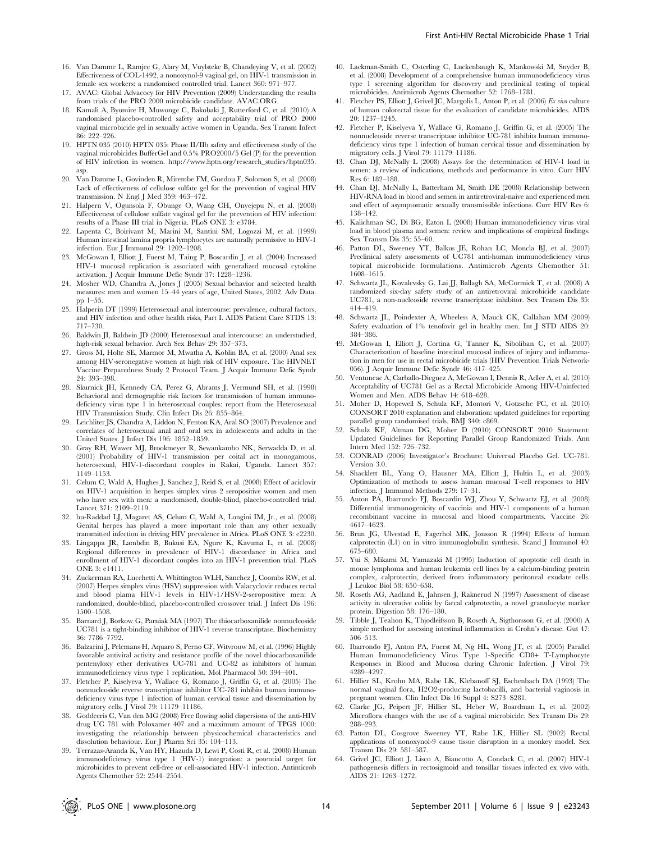- 16. Van Damme L, Ramjee G, Alary M, Vuylsteke B, Chandeying V, et al. (2002) Effectiveness of COL-1492, a nonoxynol-9 vaginal gel, on HIV-1 transmission in female sex workers: a randomised controlled trial. Lancet 360: 971–977.
- 17. AVAC: Global Advacocy for HIV Prevention (2009) Understanding the results from trials of the PRO 2000 microbicide candidate. AVAC.ORG.
- 18. Kamali A, Byomire H, Muwonge C, Bakobaki J, Rutterford C, et al. (2010) A randomised placebo-controlled safety and acceptability trial of PRO 2000 vaginal microbicide gel in sexually active women in Uganda. Sex Transm Infect 86: 222–226.
- 19. HPTN 035 (2010) HPTN 035: Phase II/IIb safety and effectiveness study of the vaginal microbicides BufferGel and 0.5% PRO2000/5 Gel (P) for the prevention of HIV infection in women. http://www.hptn.org/research\_studies/hptn035. asp.
- 20. Van Damme L, Govinden R, Mirembe FM, Guedou F, Solomon S, et al. (2008) Lack of effectiveness of cellulose sulfate gel for the prevention of vaginal HIV transmission. N Engl J Med 359: 463–472.
- 21. Halpern V, Ogunsola F, Obunge O, Wang CH, Onyejepu N, et al. (2008) Effectiveness of cellulose sulfate vaginal gel for the prevention of HIV infection: results of a Phase III trial in Nigeria. PLoS ONE 3: e3784.
- 22. Lapenta C, Boirivant M, Marini M, Santini SM, Logozzi M, et al. (1999) Human intestinal lamina propria lymphocytes are naturally permissive to HIV-1 infection. Eur J Immunol 29: 1202–1208.
- McGowan I, Elliott J, Fuerst M, Taing P, Boscardin J, et al. (2004) Increased HIV-1 mucosal replication is associated with generalized mucosal cytokine activation. J Acquir Immune Defic Syndr 37: 1228–1236.
- 24. Mosher WD, Chandra A, Jones J (2005) Sexual behavior and selected health measures: men and women 15–44 years of age, United States, 2002. Adv Data. pp 1–55.
- 25. Halperin DT (1999) Heterosexual anal intercourse: prevalence, cultural factors, and HIV infection and other health risks, Part I. AIDS Patient Care STDS 13: 717–730.
- 26. Baldwin JI, Baldwin JD (2000) Heterosexual anal intercourse: an understudied, high-risk sexual behavior. Arch Sex Behav 29: 357–373.
- 27. Gross M, Holte SE, Marmor M, Mwatha A, Koblin BA, et al. (2000) Anal sex among HIV-seronegative women at high risk of HIV exposure. The HIVNET Vaccine Preparedness Study 2 Protocol Team. J Acquir Immune Defic Syndr 24: 393–398.
- 28. Skurnick JH, Kennedy CA, Perez G, Abrams J, Vermund SH, et al. (1998) Behavioral and demographic risk factors for transmission of human immunodeficiency virus type  $\overline{1}$  in heterosexual couples: report from the Heterosexual HIV Transmission Study. Clin Infect Dis 26: 855–864.
- 29. Leichliter JS, Chandra A, Liddon N, Fenton KA, Aral SO (2007) Prevalence and correlates of heterosexual anal and oral sex in adolescents and adults in the United States. J Infect Dis 196: 1852–1859.
- 30. Gray RH, Wawer MJ, Brookmeyer R, Sewankambo NK, Serwadda D, et al. (2001) Probability of HIV-1 transmission per coital act in monogamous, heterosexual, HIV-1-discordant couples in Rakai, Uganda. Lancet 357: 1149–1153.
- 31. Celum C, Wald A, Hughes J, Sanchez J, Reid S, et al. (2008) Effect of aciclovir on HIV-1 acquisition in herpes simplex virus 2 seropositive women and men who have sex with men: a randomised, double-blind, placebo-controlled trial. Lancet 371: 2109–2119.
- 32. bu-Raddad LJ, Magaret AS, Celum C, Wald A, Longini IM, Jr., et al. (2008) Genital herpes has played a more important role than any other sexually transmitted infection in driving HIV prevalence in Africa. PLoS ONE 3: e2230.
- 33. Lingappa JR, Lambdin B, Bukusi EA, Ngure K, Kavuma L, et al. (2008) Regional differences in prevalence of HIV-1 discordance in Africa and enrollment of HIV-1 discordant couples into an HIV-1 prevention trial. PLoS ONE 3: e1411.
- 34. Zuckerman RA, Lucchetti A, Whittington WLH, Sanchez J, Coombs RW, et al. (2007) Herpes simplex virus (HSV) suppression with Valacyclovir reduces rectal and blood plama HIV-1 levels in HIV-1/HSV-2-seropositive men: A randomized, double-blind, placebo-controlled crossover trial. J Infect Dis 196: 1500–1508.
- 35. Barnard J, Borkow G, Parniak MA (1997) The thiocarboxanilide nonnucleoside UC781 is a tight-binding inhibitor of HIV-1 reverse transcriptase. Biochemistry 36: 7786–7792.
- 36. Balzarini J, Pelemans H, Aquaro S, Perno CF, Witvrouw M, et al. (1996) Highly favorable antiviral activity and resistance profile of the novel thiocarboxanilide pentenyloxy ether derivatives UC-781 and UC-82 as inhibitors of human immunodeficiency virus type 1 replication. Mol Pharmacol 50: 394–401.
- 37. Fletcher P, Kiselyeva Y, Wallace G, Romano J, Griffin G, et al. (2005) The nonnucleoside reverse transcriptase inhibitor UC-781 inhibits human immunodeficiency virus type 1 infection of human cervical tissue and dissemination by migratory cells. J Virol 79: 11179–11186.
- 38. Goddeeris C, Van den MG (2008) Free flowing solid dispersions of the anti-HIV drug UC 781 with Poloxamer 407 and a maximum amount of TPGS 1000: investigating the relationship between physicochemical characteristics and dissolution behaviour. Eur J Pharm Sci 35: 104–113.
- 39. Terrazas-Aranda K, Van HY, Hazuda D, Lewi P, Costi R, et al. (2008) Human immunodeficiency virus type 1 (HIV-1) integration: a potential target for microbicides to prevent cell-free or cell-associated HIV-1 infection. Antimicrob Agents Chemother 52: 2544–2554.
- 40. Lackman-Smith C, Osterling C, Luckenbaugh K, Mankowski M, Snyder B, et al. (2008) Development of a comprehensive human immunodeficiency virus type 1 screening algorithm for discovery and preclinical testing of topical microbicides. Antimicrob Agents Chemother 52: 1768–1781.
- 41. Fletcher PS, Elliott J, Grivel JC, Margolis L, Anton P, et al. (2006) Ex vivo culture of human colorectal tissue for the evaluation of candidate microbicides. AIDS 20: 1237–1245.
- 42. Fletcher P, Kiselyeva Y, Wallace G, Romano J, Griffin G, et al. (2005) The nonnucleoside reverse transcriptase inhibitor UC-781 inhibits human immunodeficiency virus type 1 infection of human cervical tissue and dissemination by migratory cells. J Virol 79: 11179–11186.
- 43. Chan DJ, McNally L (2008) Assays for the determination of HIV-1 load in semen: a review of indications, methods and performance in vitro. Curr HIV Res 6: 182–188.
- 44. Chan DJ, McNally L, Batterham M, Smith DE (2008) Relationship between HIV-RNA load in blood and semen in antiretroviral-naive and experienced men and effect of asymptomatic sexually transmissible infections. Curr HIV Res 6: 138–142.
- 45. Kalichman SC, Di BG, Eaton L (2008) Human immunodeficiency virus viral load in blood plasma and semen: review and implications of empirical findings. Sex Transm Dis 35: 55–60.
- 46. Patton DL, Sweeney YT, Balkus JE, Rohan LC, Moncla BJ, et al. (2007) Preclinical safety assessments of UC781 anti-human immunodeficiency virus topical microbicide formulations. Antimicrob Agents Chemother 51: 1608–1615.
- 47. Schwartz JL, Kovalevsky G, Lai JJ, Ballagh SA, McCormick T, et al. (2008) A randomized six-day safety study of an antiretroviral microbicide candidate UC781, a non-nucleoside reverse transcriptase inhibitor. Sex Transm Dis 35: 414–419.
- 48. Schwartz JL, Poindexter A, Wheeless A, Mauck CK, Callahan MM (2009) Safety evaluation of 1% tenofovir gel in healthy men. Int J STD AIDS 20: 384–386.
- 49. McGowan I, Elliott J, Cortina G, Tanner K, Siboliban C, et al. (2007) Characterization of baseline intestinal mucosal indices of injury and inflammation in men for use in rectal microbicide trials (HIV Prevention Trials Network-056). J Acquir Immune Defic Syndr 46: 417–425.
- 50. Ventuneac A, Carballo-Dieguez A, McGowan I, Dennis R, Adler A, et al. (2010) Acceptability of UC781 Gel as a Rectal Microbicide Among HIV-Uninfected Women and Men. AIDS Behav 14: 618–628.
- 51. Moher D, Hopewell S, Schulz KF, Montori V, Gotzsche PC, et al. (2010) CONSORT 2010 explanation and elaboration: updated guidelines for reporting parallel group randomised trials. BMJ 340: c869.
- 52. Schulz KF, Altman DG, Moher D (2010) CONSORT 2010 Statement: Updated Guidelines for Reporting Parallel Group Randomized Trials. Ann Intern Med 152: 726–732.
- 53. CONRAD (2006) Investigator's Brochure: Universal Placebo Gel. UC-781. Version 3.0.
- 54. Shacklett BL, Yang O, Hausner MA, Elliott J, Hultin L, et al. (2003) Optimization of methods to assess human mucosal T-cell responses to HIV infection. J Immunol Methods 279: 17–31.
- 55. Anton PA, Ibarrondo FJ, Boscardin WJ, Zhou Y, Schwartz EJ, et al. (2008) Differential immunogenicity of vaccinia and HIV-1 components of a human recombinant vaccine in mucosal and blood compartments. Vaccine 26: 4617–4623.
- 56. Brun JG, Ulvestad E, Fagerhol MK, Jonsson R (1994) Effects of human calprotectin (L1) on in vitro immunoglobulin synthesis. Scand J Immunol 40: 675–680.
- 57. Yui S, Mikami M, Yamazaki M (1995) Induction of apoptotic cell death in mouse lymphoma and human leukemia cell lines by a calcium-binding protein complex, calprotectin, derived from inflammatory peritoneal exudate cells. J Leukoc Biol 58: 650–658.
- 58. Roseth AG, Aadland E, Jahnsen J, Raknerud N (1997) Assessment of disease activity in ulcerative colitis by faecal calprotectin, a novel granulocyte marker protein. Digestion 58: 176–180.
- 59. Tibble J, Teahon K, Thjodleifsson B, Roseth A, Sigthorsson G, et al. (2000) A simple method for assessing intestinal inflammation in Crohn's disease. Gut 47: 506–513.
- 60. Ibarrondo FJ, Anton PA, Fuerst M, Ng HL, Wong JT, et al. (2005) Parallel Human Immunodeficiency Virus Type 1-Specific CD8+ T-Lymphocyte Responses in Blood and Mucosa during Chronic Infection. J Virol 79: 4289–4297.
- 61. Hillier SL, Krohn MA, Rabe LK, Klebanoff SJ, Eschenbach DA (1993) The normal vaginal flora, H2O2-producing lactobacilli, and bacterial vaginosis in pregnant women. Clin Infect Dis 16 Suppl 4: S273–S281.
- 62. Clarke JG, Peipert JF, Hillier SL, Heber W, Boardman L, et al. (2002) Microflora changes with the use of a vaginal microbicide. Sex Transm Dis 29: 288–293.
- 63. Patton DL, Cosgrove Sweeney YT, Rabe LK, Hillier SL (2002) Rectal applications of nonoxynol-9 cause tissue disruption in a monkey model. Sex Transm Dis 29: 581–587.
- 64. Grivel JC, Elliott J, Lisco A, Biancotto A, Condack C, et al. (2007) HIV-1 pathogenesis differs in rectosigmoid and tonsillar tissues infected ex vivo with. AIDS 21: 1263–1272.